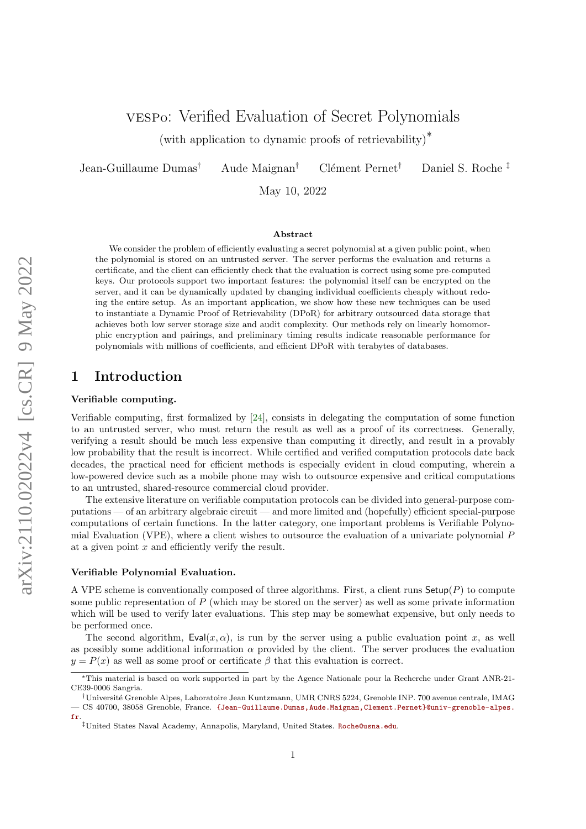(with application to dynamic proofs of retrievability)<sup>∗</sup>

Jean-Guillaume Dumas<sup>†</sup> Aude Maignan<sup>†</sup> Clément Pernet<sup>†</sup> Daniel S. Roche <sup>‡</sup>

May 10, 2022

#### Abstract

We consider the problem of efficiently evaluating a secret polynomial at a given public point, when the polynomial is stored on an untrusted server. The server performs the evaluation and returns a certificate, and the client can efficiently check that the evaluation is correct using some pre-computed keys. Our protocols support two important features: the polynomial itself can be encrypted on the server, and it can be dynamically updated by changing individual coefficients cheaply without redoing the entire setup. As an important application, we show how these new techniques can be used to instantiate a Dynamic Proof of Retrievability (DPoR) for arbitrary outsourced data storage that achieves both low server storage size and audit complexity. Our methods rely on linearly homomorphic encryption and pairings, and preliminary timing results indicate reasonable performance for polynomials with millions of coefficients, and efficient DPoR with terabytes of databases.

## 1 Introduction

#### Verifiable computing.

Verifiable computing, first formalized by [\[24\]](#page-20-0), consists in delegating the computation of some function to an untrusted server, who must return the result as well as a proof of its correctness. Generally, verifying a result should be much less expensive than computing it directly, and result in a provably low probability that the result is incorrect. While certified and verified computation protocols date back decades, the practical need for efficient methods is especially evident in cloud computing, wherein a low-powered device such as a mobile phone may wish to outsource expensive and critical computations to an untrusted, shared-resource commercial cloud provider.

The extensive literature on verifiable computation protocols can be divided into general-purpose computations — of an arbitrary algebraic circuit — and more limited and (hopefully) efficient special-purpose computations of certain functions. In the latter category, one important problems is Verifiable Polynomial Evaluation (VPE), where a client wishes to outsource the evaluation of a univariate polynomial P at a given point x and efficiently verify the result.

#### Verifiable Polynomial Evaluation.

A VPE scheme is conventionally composed of three algorithms. First, a client runs  $\mathsf{Setup}(P)$  to compute some public representation of  $P$  (which may be stored on the server) as well as some private information which will be used to verify later evaluations. This step may be somewhat expensive, but only needs to be performed once.

The second algorithm,  $Eval(x, \alpha)$ , is run by the server using a public evaluation point x, as well as possibly some additional information  $\alpha$  provided by the client. The server produces the evaluation  $y = P(x)$  as well as some proof or certificate  $\beta$  that this evaluation is correct.

<sup>∗</sup>This material is based on work supported in part by the Agence Nationale pour la Recherche under Grant ANR-21- CE39-0006 Sangria.

<sup>†</sup>Universit´e Grenoble Alpes, Laboratoire Jean Kuntzmann, UMR CNRS 5224, Grenoble INP. 700 avenue centrale, IMAG — CS 40700, 38058 Grenoble, France. [{Jean-Guillaume.Dumas,Aude.Maignan,Clement.Pernet}@univ-grenoble-alpes.](mailto:Jean-Guillaume.Dumas@univ-grenoble-alpes.fr,Aude.Maignan@univ-grenoble-alpes.fr,Clement.Pernet@univ-grenoble-alpes.fr) [fr](mailto:Jean-Guillaume.Dumas@univ-grenoble-alpes.fr,Aude.Maignan@univ-grenoble-alpes.fr,Clement.Pernet@univ-grenoble-alpes.fr).

<sup>‡</sup>United States Naval Academy, Annapolis, Maryland, United States. [Roche@usna.edu](mailto:Roche@usna.edu).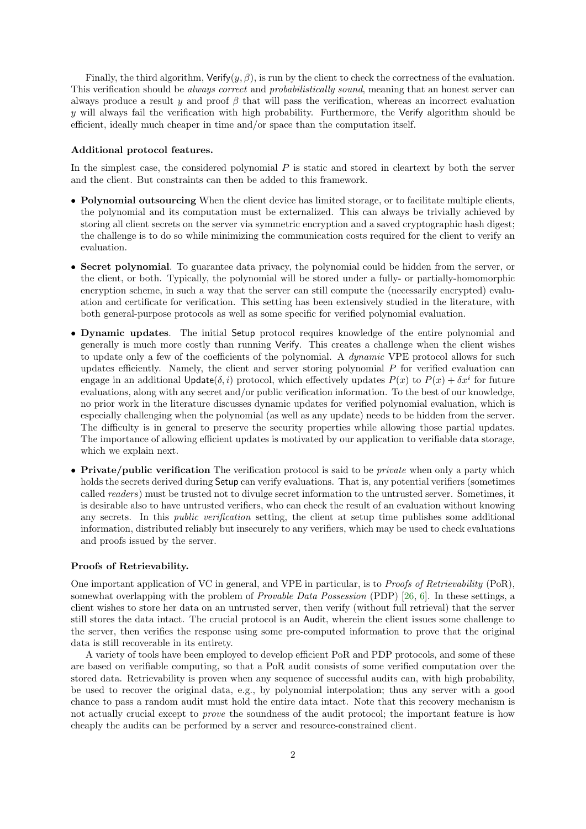Finally, the third algorithm,  $Verify(y, \beta)$ , is run by the client to check the correctness of the evaluation. This verification should be *always correct* and *probabilistically sound*, meaning that an honest server can always produce a result y and proof  $\beta$  that will pass the verification, whereas an incorrect evaluation y will always fail the verification with high probability. Furthermore, the Verify algorithm should be efficient, ideally much cheaper in time and/or space than the computation itself.

#### Additional protocol features.

In the simplest case, the considered polynomial  $P$  is static and stored in cleartext by both the server and the client. But constraints can then be added to this framework.

- Polynomial outsourcing When the client device has limited storage, or to facilitate multiple clients, the polynomial and its computation must be externalized. This can always be trivially achieved by storing all client secrets on the server via symmetric encryption and a saved cryptographic hash digest; the challenge is to do so while minimizing the communication costs required for the client to verify an evaluation.
- Secret polynomial. To guarantee data privacy, the polynomial could be hidden from the server, or the client, or both. Typically, the polynomial will be stored under a fully- or partially-homomorphic encryption scheme, in such a way that the server can still compute the (necessarily encrypted) evaluation and certificate for verification. This setting has been extensively studied in the literature, with both general-purpose protocols as well as some specific for verified polynomial evaluation.
- Dynamic updates. The initial Setup protocol requires knowledge of the entire polynomial and generally is much more costly than running Verify. This creates a challenge when the client wishes to update only a few of the coefficients of the polynomial. A *dynamic* VPE protocol allows for such updates efficiently. Namely, the client and server storing polynomial  $P$  for verified evaluation can engage in an additional Update( $\delta$ , i) protocol, which effectively updates  $P(x)$  to  $P(x) + \delta x^i$  for future evaluations, along with any secret and/or public verification information. To the best of our knowledge, no prior work in the literature discusses dynamic updates for verified polynomial evaluation, which is especially challenging when the polynomial (as well as any update) needs to be hidden from the server. The difficulty is in general to preserve the security properties while allowing those partial updates. The importance of allowing efficient updates is motivated by our application to verifiable data storage, which we explain next.
- Private/public verification The verification protocol is said to be *private* when only a party which holds the secrets derived during Setup can verify evaluations. That is, any potential verifiers (sometimes called readers) must be trusted not to divulge secret information to the untrusted server. Sometimes, it is desirable also to have untrusted verifiers, who can check the result of an evaluation without knowing any secrets. In this public verification setting, the client at setup time publishes some additional information, distributed reliably but insecurely to any verifiers, which may be used to check evaluations and proofs issued by the server.

#### Proofs of Retrievability.

One important application of VC in general, and VPE in particular, is to Proofs of Retrievability (PoR), somewhat overlapping with the problem of *Provable Data Possession* (PDP) [\[26,](#page-20-1) [6\]](#page-19-0). In these settings, a client wishes to store her data on an untrusted server, then verify (without full retrieval) that the server still stores the data intact. The crucial protocol is an Audit, wherein the client issues some challenge to the server, then verifies the response using some pre-computed information to prove that the original data is still recoverable in its entirety.

A variety of tools have been employed to develop efficient PoR and PDP protocols, and some of these are based on verifiable computing, so that a PoR audit consists of some verified computation over the stored data. Retrievability is proven when any sequence of successful audits can, with high probability, be used to recover the original data, e.g., by polynomial interpolation; thus any server with a good chance to pass a random audit must hold the entire data intact. Note that this recovery mechanism is not actually crucial except to prove the soundness of the audit protocol; the important feature is how cheaply the audits can be performed by a server and resource-constrained client.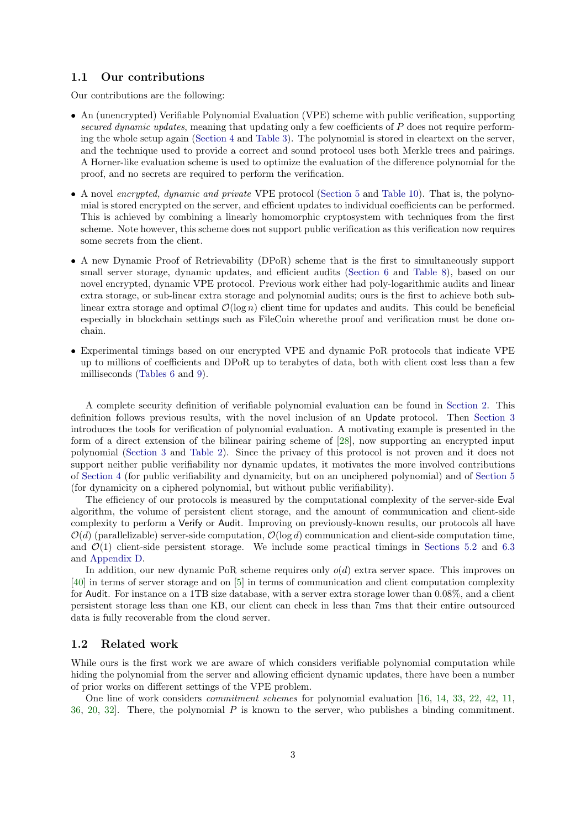### 1.1 Our contributions

Our contributions are the following:

- An (unencrypted) Verifiable Polynomial Evaluation (VPE) scheme with public verification, supporting secured dynamic updates, meaning that updating only a few coefficients of P does not require performing the whole setup again [\(Section 4](#page-7-0) and [Table 3\)](#page-8-0). The polynomial is stored in cleartext on the server, and the technique used to provide a correct and sound protocol uses both Merkle trees and pairings. A Horner-like evaluation scheme is used to optimize the evaluation of the difference polynomial for the proof, and no secrets are required to perform the verification.
- A novel encrypted, dynamic and private VPE protocol [\(Section 5](#page-9-0) and [Table 10\)](#page-22-0). That is, the polynomial is stored encrypted on the server, and efficient updates to individual coefficients can be performed. This is achieved by combining a linearly homomorphic cryptosystem with techniques from the first scheme. Note however, this scheme does not support public verification as this verification now requires some secrets from the client.
- A new Dynamic Proof of Retrievability (DPoR) scheme that is the first to simultaneously support small server storage, dynamic updates, and efficient audits [\(Section 6](#page-14-0) and [Table 8\)](#page-15-0), based on our novel encrypted, dynamic VPE protocol. Previous work either had poly-logarithmic audits and linear extra storage, or sub-linear extra storage and polynomial audits; ours is the first to achieve both sublinear extra storage and optimal  $\mathcal{O}(\log n)$  client time for updates and audits. This could be beneficial especially in blockchain settings such as FileCoin wherethe proof and verification must be done onchain.
- Experimental timings based on our encrypted VPE and dynamic PoR protocols that indicate VPE up to millions of coefficients and DPoR up to terabytes of data, both with client cost less than a few milliseconds [\(Tables 6](#page-13-0) and [9\)](#page-17-0).

A complete security definition of verifiable polynomial evaluation can be found in [Section 2.](#page-3-0) This definition follows previous results, with the novel inclusion of an Update protocol. Then [Section 3](#page-6-0) introduces the tools for verification of polynomial evaluation. A motivating example is presented in the form of a direct extension of the bilinear pairing scheme of [\[28\]](#page-20-2), now supporting an encrypted input polynomial [\(Section 3](#page-6-0) and [Table 2\)](#page-6-1). Since the privacy of this protocol is not proven and it does not support neither public verifiability nor dynamic updates, it motivates the more involved contributions of [Section 4](#page-7-0) (for public verifiability and dynamicity, but on an unciphered polynomial) and of [Section 5](#page-9-0) (for dynamicity on a ciphered polynomial, but without public verifiability).

The efficiency of our protocols is measured by the computational complexity of the server-side Eval algorithm, the volume of persistent client storage, and the amount of communication and client-side complexity to perform a Verify or Audit. Improving on previously-known results, our protocols all have  $\mathcal{O}(d)$  (parallelizable) server-side computation,  $\mathcal{O}(\log d)$  communication and client-side computation time, and  $\mathcal{O}(1)$  client-side persistent storage. We include some practical timings in [Sections 5.2](#page-13-1) and [6.3](#page-16-0) and [Appendix D.](#page-24-0)

In addition, our new dynamic PoR scheme requires only  $o(d)$  extra server space. This improves on [\[40\]](#page-21-0) in terms of server storage and on [\[5\]](#page-19-1) in terms of communication and client computation complexity for Audit. For instance on a 1TB size database, with a server extra storage lower than 0.08%, and a client persistent storage less than one KB, our client can check in less than 7ms that their entire outsourced data is fully recoverable from the cloud server.

### 1.2 Related work

While ours is the first work we are aware of which considers verifiable polynomial computation while hiding the polynomial from the server and allowing efficient dynamic updates, there have been a number of prior works on different settings of the VPE problem.

One line of work considers commitment schemes for polynomial evaluation [\[16,](#page-20-3) [14,](#page-19-2) [33,](#page-21-1) [22,](#page-20-4) [42,](#page-21-2) [11,](#page-19-3) [36,](#page-21-3) [20,](#page-20-5) 32. There, the polynomial  $P$  is known to the server, who publishes a binding commitment.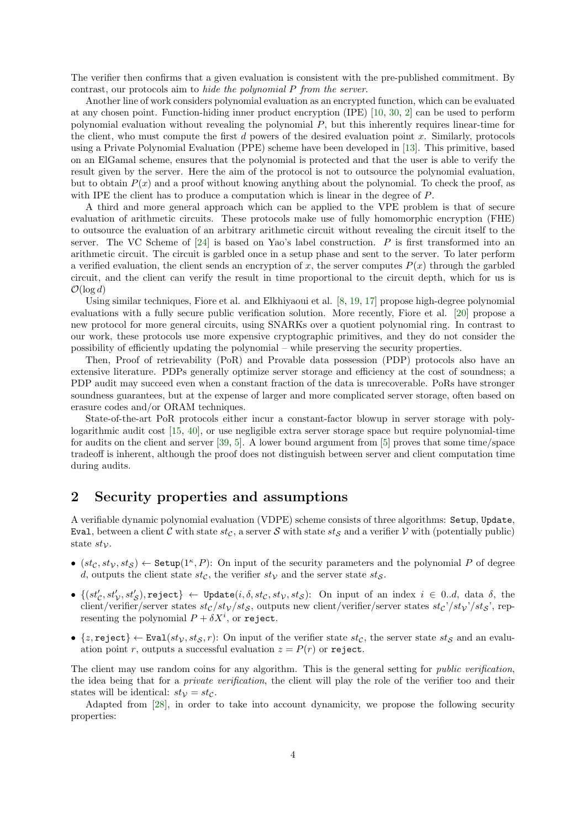The verifier then confirms that a given evaluation is consistent with the pre-published commitment. By contrast, our protocols aim to hide the polynomial P from the server.

Another line of work considers polynomial evaluation as an encrypted function, which can be evaluated at any chosen point. Function-hiding inner product encryption (IPE) [\[10,](#page-19-4) [30,](#page-20-6) [2\]](#page-19-5) can be used to perform polynomial evaluation without revealing the polynomial P, but this inherently requires linear-time for the client, who must compute the first  $d$  powers of the desired evaluation point  $x$ . Similarly, protocols using a Private Polynomial Evaluation (PPE) scheme have been developed in [\[13\]](#page-19-6). This primitive, based on an ElGamal scheme, ensures that the polynomial is protected and that the user is able to verify the result given by the server. Here the aim of the protocol is not to outsource the polynomial evaluation, but to obtain  $P(x)$  and a proof without knowing anything about the polynomial. To check the proof, as with IPE the client has to produce a computation which is linear in the degree of P.

A third and more general approach which can be applied to the VPE problem is that of secure evaluation of arithmetic circuits. These protocols make use of fully homomorphic encryption (FHE) to outsource the evaluation of an arbitrary arithmetic circuit without revealing the circuit itself to the server. The VC Scheme of  $[24]$  is based on Yao's label construction. P is first transformed into an arithmetic circuit. The circuit is garbled once in a setup phase and sent to the server. To later perform a verified evaluation, the client sends an encryption of x, the server computes  $P(x)$  through the garbled circuit, and the client can verify the result in time proportional to the circuit depth, which for us is  $\mathcal{O}(\log d)$ 

Using similar techniques, Fiore et al. and Elkhiyaoui et al. [\[8,](#page-19-7) [19,](#page-20-7) [17\]](#page-20-8) propose high-degree polynomial evaluations with a fully secure public verification solution. More recently, Fiore et al. [\[20\]](#page-20-5) propose a new protocol for more general circuits, using SNARKs over a quotient polynomial ring. In contrast to our work, these protocols use more expensive cryptographic primitives, and they do not consider the possibility of efficiently updating the polynomial – while preserving the security properties.

Then, Proof of retrievability (PoR) and Provable data possession (PDP) protocols also have an extensive literature. PDPs generally optimize server storage and efficiency at the cost of soundness; a PDP audit may succeed even when a constant fraction of the data is unrecoverable. PoRs have stronger soundness guarantees, but at the expense of larger and more complicated server storage, often based on erasure codes and/or ORAM techniques.

State-of-the-art PoR protocols either incur a constant-factor blowup in server storage with polylogarithmic audit cost [\[15,](#page-20-9) [40\]](#page-21-0), or use negligible extra server storage space but require polynomial-time for audits on the client and server [\[39,](#page-21-5) [5\]](#page-19-1). A lower bound argument from [\[5\]](#page-19-1) proves that some time/space tradeoff is inherent, although the proof does not distinguish between server and client computation time during audits.

## <span id="page-3-0"></span>2 Security properties and assumptions

A verifiable dynamic polynomial evaluation (VDPE) scheme consists of three algorithms: Setup, Update, Eval, between a client C with state st<sub>C</sub>, a server S with state st<sub>S</sub> and a verifier V with (potentially public) state  $st_{\mathcal{V}}$ .

- $(st_{\mathcal{C}}, st_{\mathcal{V}}, st_{\mathcal{S}}) \leftarrow$  Setup $(1^{\kappa}, P)$ : On input of the security parameters and the polynomial P of degree d, outputs the client state  $st_{\mathcal{C}}$ , the verifier  $st_{\mathcal{V}}$  and the server state  $st_{\mathcal{S}}$ .
- $\bullet$   $\{(st_{\mathcal{C}}', st_{\mathcal{V}}', st_{\mathcal{S}}'),$ reject $\}\leftarrow$  Update $(i, \delta, st_{\mathcal{C}}, st_{\mathcal{V}}, st_{\mathcal{S}}):$  On input of an index  $i \in 0..d$ , data  $\delta$ , the client/verifier/server states  $st_c/st_V/st_S$ , outputs new client/verifier/server states  $st_c'/st_V'/st_S'$ , representing the polynomial  $P + \delta X^i$ , or reject.
- $\{z, \text{reject}\} \leftarrow \text{Eval}(st_{\mathcal{V}}, st_{\mathcal{S}}, r)$ : On input of the verifier state  $st_{\mathcal{C}},$  the server state  $st_{\mathcal{S}}$  and an evaluation point r, outputs a successful evaluation  $z = P(r)$  or reject.

The client may use random coins for any algorithm. This is the general setting for *public verification*, the idea being that for a private verification, the client will play the role of the verifier too and their states will be identical:  $st_V = st_C$ .

<span id="page-3-1"></span>Adapted from [\[28\]](#page-20-2), in order to take into account dynamicity, we propose the following security properties: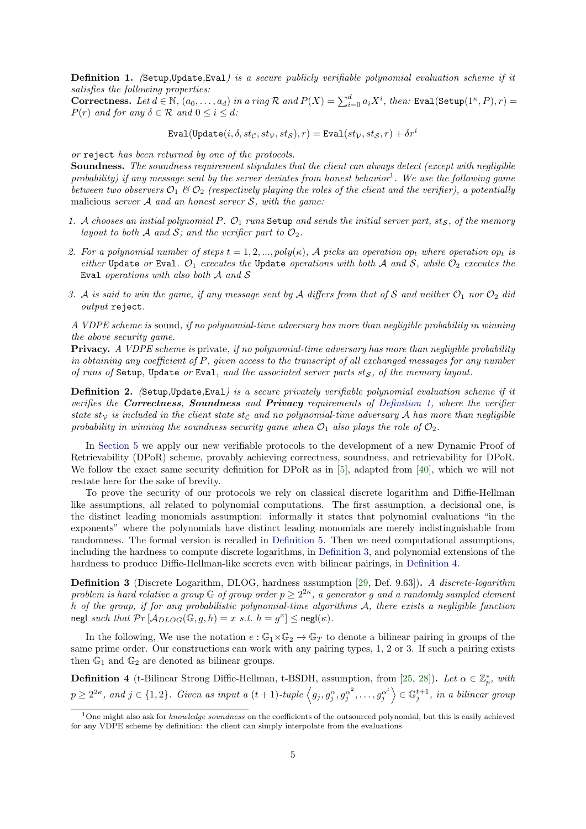Definition 1. (Setup,Update,Eval) is a secure publicly verifiable polynomial evaluation scheme if it satisfies the following properties:

Correctness. Let  $d \in \mathbb{N}$ ,  $(a_0, \ldots, a_d)$  in a ring  $\mathcal R$  and  $P(X) = \sum_{i=0}^d a_i X^i$ , then: Eval(Setup(1<sup> $\kappa$ </sup>, P), r) =  $P(r)$  and for any  $\delta \in \mathcal{R}$  and  $0 \leq i \leq d$ :

Eval(Update $(i, \delta, st_{\mathcal{C}}, st_{\mathcal{V}}, st_{\mathcal{S}}), r$ ) = Eval $(st_{\mathcal{V}}, st_{\mathcal{S}}, r) + \delta r^i$ 

or reject has been returned by one of the protocols.

Soundness. The soundness requirement stipulates that the client can always detect (except with negligible probability) if any message sent by the server deviates from honest behavior<sup>[1](#page-4-0)</sup>. We use the following game between two observers  $\mathcal{O}_1 \& \mathcal{O}_2$  (respectively playing the roles of the client and the verifier), a potentially malicious server  $A$  and an honest server  $S$ , with the game:

- 1. A chooses an initial polynomial P.  $\mathcal{O}_1$  runs Setup and sends the initial server part, sts, of the memory layout to both A and S; and the verifier part to  $\mathcal{O}_2$ .
- 2. For a polynomial number of steps  $t = 1, 2, ..., poly(\kappa)$ , A picks an operation op<sub>t</sub> where operation op<sub>t</sub> is either Update or Eval.  $\mathcal{O}_1$  executes the Update operations with both A and S, while  $\mathcal{O}_2$  executes the Eval operations with also both  $A$  and  $S$
- 3. A is said to win the game, if any message sent by A differs from that of S and neither  $\mathcal{O}_1$  nor  $\mathcal{O}_2$  did output reject.

A VDPE scheme is sound, if no polynomial-time adversary has more than negligible probability in winning the above security game.

Privacy. A VDPE scheme is private, if no polynomial-time adversary has more than negligible probability in obtaining any coefficient of P, given access to the transcript of all exchanged messages for any number of runs of Setup, Update or Eval, and the associated server parts  $st_S$ , of the memory layout.

Definition 2. (Setup,Update,Eval) is a secure privately verifiable polynomial evaluation scheme if it verifies the Correctness, Soundness and Privacy requirements of [Definition 1,](#page-3-1) where the verifier state st<sub>V</sub> is included in the client state st<sub>C</sub> and no polynomial-time adversary A has more than negligible probability in winning the soundness security game when  $\mathcal{O}_1$  also plays the role of  $\mathcal{O}_2$ .

In [Section 5](#page-9-0) we apply our new verifiable protocols to the development of a new Dynamic Proof of Retrievability (DPoR) scheme, provably achieving correctness, soundness, and retrievability for DPoR. We follow the exact same security definition for DPoR as in [\[5\]](#page-19-1), adapted from [\[40\]](#page-21-0), which we will not restate here for the sake of brevity.

To prove the security of our protocols we rely on classical discrete logarithm and Diffie-Hellman like assumptions, all related to polynomial computations. The first assumption, a decisional one, is the distinct leading monomials assumption: informally it states that polynomial evaluations "in the exponents" where the polynomials have distinct leading monomials are merely indistinguishable from randomness. The formal version is recalled in [Definition 5.](#page-5-0) Then we need computational assumptions, including the hardness to compute discrete logarithms, in [Definition 3,](#page-4-1) and polynomial extensions of the hardness to produce Diffie-Hellman-like secrets even with bilinear pairings, in [Definition 4.](#page-4-2)

<span id="page-4-1"></span>Definition 3 (Discrete Logarithm, DLOG, hardness assumption [\[29,](#page-20-10) Def. 9.63]). A discrete-logarithm problem is hard relative a group  $\mathbb G$  of group order  $p \geq 2^{2\kappa}$ , a generator g and a randomly sampled element h of the group, if for any probabilistic polynomial-time algorithms A, there exists a negligible function negl such that  $Pr\left[\mathcal{A}_{DLOG}(\mathbb{G}, g, h) = x \text{ s.t. } h = g^x\right] \leq \text{negl}(\kappa)$ .

In the following, We use the notation  $e : \mathbb{G}_1 \times \mathbb{G}_2 \to \mathbb{G}_T$  to denote a bilinear pairing in groups of the same prime order. Our constructions can work with any pairing types, 1, 2 or 3. If such a pairing exists then  $\mathbb{G}_1$  and  $\mathbb{G}_2$  are denoted as bilinear groups.

<span id="page-4-2"></span>**Definition 4** (t-Bilinear Strong Diffie-Hellman, t-BSDH, assumption, from [\[25,](#page-20-11) [28\]](#page-20-2)). Let  $\alpha \in \mathbb{Z}_p^*$ , with  $p \geq 2^{2\kappa}$ , and  $j \in \{1,2\}$ . Given as input a  $(t+1)$ -tuple  $\left\langle g_j, g_j^{\alpha}, g_j^{\alpha^2}, \ldots, g_j^{\alpha^t} \right\rangle \in \mathbb{G}_j^{t+1}$ , in a bilinear group

<span id="page-4-0"></span><sup>&</sup>lt;sup>1</sup>One might also ask for *knowledge soundness* on the coefficients of the outsourced polynomial, but this is easily achieved for any VDPE scheme by definition: the client can simply interpolate from the evaluations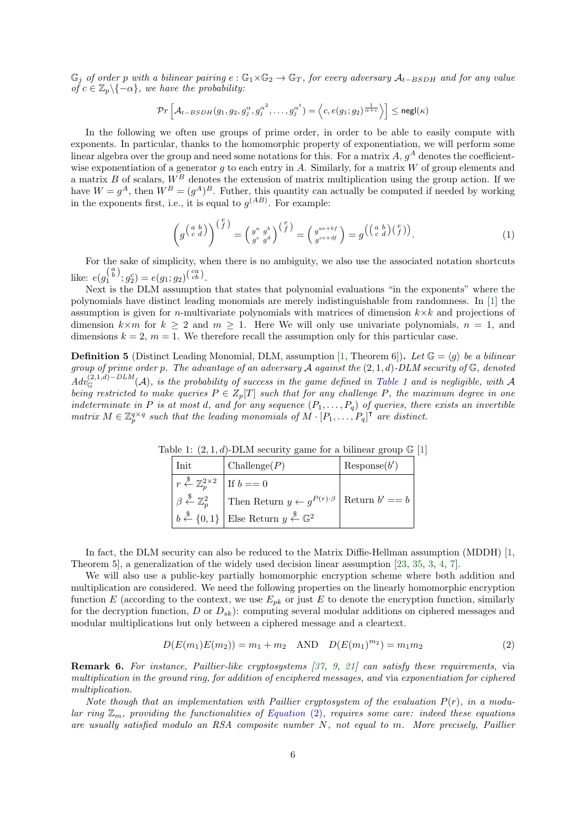$\mathbb{G}_j$  of order p with a bilinear pairing  $e : \mathbb{G}_1 \times \mathbb{G}_2 \to \mathbb{G}_T$ , for every adversary  $\mathcal{A}_{t-BSDH}$  and for any value of  $c \in \mathbb{Z}_p \backslash \{-\alpha\}$ , we have the probability:

$$
\mathcal{P}r\left[\mathcal{A}_{t-BSDH}(g_1,g_2,g_j^{\alpha},g_j^{\alpha^2},\ldots,g_j^{\alpha^t})=\left\langle c,e(g_1;g_2)^{\frac{1}{\alpha+c}}\right\rangle\right]\leq \mathsf{negl}(\kappa)
$$

In the following we often use groups of prime order, in order to be able to easily compute with exponents. In particular, thanks to the homomorphic property of exponentiation, we will perform some linear algebra over the group and need some notations for this. For a matrix  $A, g^A$  denotes the coefficientwise exponentiation of a generator q to each entry in A. Similarly, for a matrix  $W$  of group elements and a matrix B of scalars,  $W^B$  denotes the extension of matrix multiplication using the group action. If we have  $W = g<sup>A</sup>$ , then  $W<sup>B</sup> = (g<sup>A</sup>)<sup>B</sup>$ . Futher, this quantity can actually be computed if needed by working in the exponents first, i.e., it is equal to  $g^{(AB)}$ . For example:

$$
\left(g^{\left(a\atop c\atop c\atop d\right}\right)^{\left(c\atop f\right)}=\left(g^{a\atop g^{c}g^{b}\atop g^{d}\right)^{\left(c\atop f\right)}}=\left(g^{a e+bf}_{e e+df}\right)=g^{\left(\left(a\atop c\atop c\atop d\right)\left(c\atop f\right)\right)}.
$$
\n(1)

For the sake of simplicity, when there is no ambiguity, we also use the associated notation shortcuts like:  $e(g_1^{\binom{a}{b}}; g_2^c) = e(g_1; g_2)^{\binom{ca}{cb}}$ .

Next is the DLM assumption that states that polynomial evaluations "in the exponents" where the polynomials have distinct leading monomials are merely indistinguishable from randomness. In [\[1\]](#page-19-8) the assumption is given for *n*-multivariate polynomials with matrices of dimension  $k \times k$  and projections of dimension  $k \times m$  for  $k \geq 2$  and  $m \geq 1$ . Here We will only use univariate polynomials,  $n = 1$ , and dimensions  $k = 2$ ,  $m = 1$ . We therefore recall the assumption only for this particular case.

<span id="page-5-1"></span><span id="page-5-0"></span>**Definition 5** (Distinct Leading Monomial, DLM, assumption [\[1,](#page-19-8) Theorem 6]). Let  $\mathbb{G} = \langle g \rangle$  be a bilinear group of prime order p. The advantage of an adversary  $\mathcal A$  against the  $(2,1,d)$ -DLM security of  $\mathbb G$ , denoted  $Adv_{\mathbb{G}}^{(2,1,d)-DLM}(\mathcal{A})$ , is the probability of success in the game defined in [Table 1](#page-5-1) and is negligible, with  $\mathcal{A}$ being restricted to make queries  $P \in Z_p[T]$  such that for any challenge P, the maximum degree in one indeterminate in P is at most d, and for any sequence  $(P_1, \ldots, P_q)$  of queries, there exists an invertible matrix  $M \in \mathbb{Z}_p^{q \times q}$  such that the leading monomials of  $M \cdot [P_1, \ldots, P_q]^\mathsf{T}$  are distinct.

Table 1:  $(2, 1, d)$ -DLM security game for a bilinear group  $\mathbb{G}$  [\[1\]](#page-19-8)

| Init                                                                  | $\text{Challenge}(P)$                                                                        | Respose(b') |
|-----------------------------------------------------------------------|----------------------------------------------------------------------------------------------|-------------|
| $r \stackrel{\$}{\leftarrow} \mathbb{Z}_p^{2 \times 2}$   If $b == 0$ |                                                                                              |             |
| $\beta \stackrel{\$}{\leftarrow} \mathbb{Z}_p^2$                      | Then Return $y \leftarrow g^{P(r) \cdot \beta}$ Return $b' == b$                             |             |
|                                                                       | $b \stackrel{\$}{\leftarrow} \{0,1\}$ Else Return $y \stackrel{\$}{\leftarrow} \mathbb{G}^2$ |             |

In fact, the DLM security can also be reduced to the Matrix Diffie-Hellman assumption (MDDH) [\[1,](#page-19-8) Theorem 5], a generalization of the widely used decision linear assumption [\[23,](#page-20-12) [35,](#page-21-6) [3,](#page-19-9) [4,](#page-19-10) [7\]](#page-19-11).

We will also use a public-key partially homomorphic encryption scheme where both addition and multiplication are considered. We need the following properties on the linearly homomorphic encryption function E (according to the context, we use  $E_{pk}$  or just E to denote the encryption function, similarly for the decryption function, D or  $D_{sk}$ : computing several modular additions on ciphered messages and modular multiplications but only between a ciphered message and a cleartext.

<span id="page-5-2"></span>
$$
D(E(m_1)E(m_2)) = m_1 + m_2 \quad \text{AND} \quad D(E(m_1)^{m_2}) = m_1 m_2 \tag{2}
$$

<span id="page-5-3"></span>Remark 6. For instance, Paillier-like cryptosystems [\[37,](#page-21-7) [9,](#page-19-12) [21\]](#page-20-13) can satisfy these requirements, via multiplication in the ground ring, for addition of enciphered messages, and via exponentiation for ciphered multiplication.

Note though that an implementation with Paillier cryptosystem of the evaluation  $P(r)$ , in a modular ring  $\mathbb{Z}_m$ , providing the functionalities of [Equation](#page-5-2) (2), requires some care: indeed these equations are usually satisfied modulo an RSA composite number N, not equal to m. More precisely, Paillier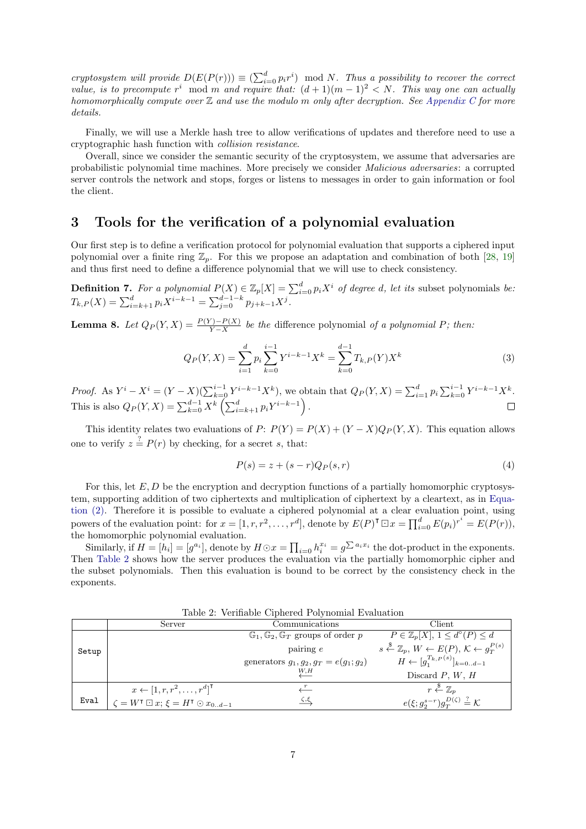cryptosystem will provide  $D(E(P(r))) \equiv (\sum_{i=0}^{d} p_i r^i) \mod N$ . Thus a possibility to recover the correct value, is to precompute  $r^i \mod m$  and require that:  $(d+1)(m-1)^2 < N$ . This way one can actually homomorphically compute over  $\mathbb Z$  and use the modulo m only after decryption. See [Appendix C](#page-24-1) for more details.

Finally, we will use a Merkle hash tree to allow verifications of updates and therefore need to use a cryptographic hash function with collision resistance.

Overall, since we consider the semantic security of the cryptosystem, we assume that adversaries are probabilistic polynomial time machines. More precisely we consider Malicious adversaries: a corrupted server controls the network and stops, forges or listens to messages in order to gain information or fool the client.

# <span id="page-6-0"></span>3 Tools for the verification of a polynomial evaluation

Our first step is to define a verification protocol for polynomial evaluation that supports a ciphered input polynomial over a finite ring  $\mathbb{Z}_p$ . For this we propose an adaptation and combination of both [\[28,](#page-20-2) [19\]](#page-20-7) and thus first need to define a difference polynomial that we will use to check consistency.

**Definition 7.** For a polynomial  $P(X) \in \mathbb{Z}_p[X] = \sum_{i=0}^d p_i X^i$  of degree d, let its subset polynomials be:  $T_{k,P}(X) = \sum_{i=k+1}^{d} p_i X^{i-k-1} = \sum_{j=0}^{d-1-k} p_{j+k-1} X^j.$ 

<span id="page-6-2"></span>**Lemma 8.** Let  $Q_P(Y, X) = \frac{P(Y) - P(X)}{Y - X}$  be the difference polynomial of a polynomial P; then:

$$
Q_P(Y,X) = \sum_{i=1}^d p_i \sum_{k=0}^{i-1} Y^{i-k-1} X^k = \sum_{k=0}^{d-1} T_{k,P}(Y) X^k
$$
\n(3)

*Proof.* As  $Y^{i} - X^{i} = (Y - X)(\sum_{k=0}^{i-1} Y^{i-k-1} X^{k})$ , we obtain that  $Q_{P}(Y, X) = \sum_{i=1}^{d} p_{i} \sum_{k=0}^{i-1} Y^{i-k-1} X^{k}$ . This is also  $Q_P(Y, X) = \sum_{k=0}^{d-1} X^k \left( \sum_{i=k+1}^d p_i Y^{i-k-1} \right)$ .

This identity relates two evaluations of  $P: P(Y) = P(X) + (Y - X)Q_P(Y, X)$ . This equation allows one to verify  $z = P(r)$  by checking, for a secret s, that:

<span id="page-6-3"></span>
$$
P(s) = z + (s - r)Q_P(s, r)
$$
\n<sup>(4)</sup>

For this, let  $E, D$  be the encryption and decryption functions of a partially homomorphic cryptosystem, supporting addition of two ciphertexts and multiplication of ciphertext by a cleartext, as in [Equa](#page-5-2)[tion \(2\).](#page-5-2) Therefore it is possible to evaluate a ciphered polynomial at a clear evaluation point, using powers of the evaluation point: for  $x = [1, r, r^2, \ldots, r^d]$ , denote by  $E(P)^{\mathsf{T}} \boxdot x = \prod_{i=0}^d E(p_i)^{r^i} = E(P(r))$ , the homomorphic polynomial evaluation.

Similarly, if  $H = [h_i] = [g^{a_i}]$ , denote by  $H \odot x = \prod_{i=0} h_i^{x_i} = g^{\sum a_i x_i}$  the dot-product in the exponents. Then [Table 2](#page-6-1) shows how the server produces the evaluation via the partially homomorphic cipher and the subset polynomials. Then this evaluation is bound to be correct by the consistency check in the exponents.

<span id="page-6-4"></span><span id="page-6-1"></span>

|       | Server                                                                     | Communications                                               | Client                                                                                           |
|-------|----------------------------------------------------------------------------|--------------------------------------------------------------|--------------------------------------------------------------------------------------------------|
|       |                                                                            | $\mathbb{G}_1, \mathbb{G}_2, \mathbb{G}_T$ groups of order p | $P \in \mathbb{Z}_p[X], 1 \leq d^{\circ}(P) \leq d$                                              |
| Setup |                                                                            | $\alpha$ pairing $e$                                         | $s \stackrel{\$}{\leftarrow} \mathbb{Z}_p, W \leftarrow E(P), \mathcal{K} \leftarrow g_T^{P(s)}$ |
|       |                                                                            | generators $g_1, g_2, g_T = e(g_1; g_2)$                     | $H \leftarrow [q_1^{T_k, P^{(s)}}]_{k=0d-1}$                                                     |
|       |                                                                            | W, H                                                         | Discard $P, W, H$                                                                                |
|       | $x \leftarrow [1, r, r^2, \ldots, r^d]^\mathsf{T}$                         | $\frac{1}{\sqrt{2}}$                                         | $r \overset{\hspace{0.1em}\mathsf{\scriptscriptstyle\$}}{\leftarrow} \mathbb{Z}_n$               |
| Eval  | $\zeta = W^{\mathsf{T}} \boxdot x; \, \xi = H^{\mathsf{T}} \odot x_{0d-1}$ | $\zeta,\xi$                                                  | $e(\xi; q_2^{s-r})q_T^{D(\zeta)} \stackrel{?}{=} \mathcal{K}$                                    |

Table 2: Verifiable Ciphered Polynomial Evaluation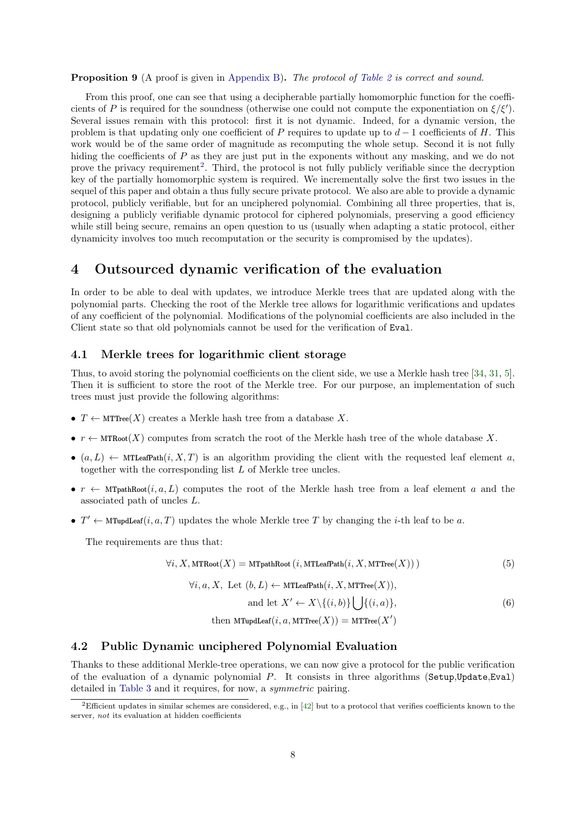**Proposition 9** (A proof is given in [Appendix B\)](#page-21-8). The protocol of [Table 2](#page-6-1) is correct and sound.

From this proof, one can see that using a decipherable partially homomorphic function for the coefficients of P is required for the soundness (otherwise one could not compute the exponentiation on  $\xi/\xi'$ ). Several issues remain with this protocol: first it is not dynamic. Indeed, for a dynamic version, the problem is that updating only one coefficient of P requires to update up to  $d-1$  coefficients of H. This work would be of the same order of magnitude as recomputing the whole setup. Second it is not fully hiding the coefficients of P as they are just put in the exponents without any masking, and we do not prove the privacy requirement<sup>[2](#page-7-1)</sup>. Third, the protocol is not fully publicly verifiable since the decryption key of the partially homomorphic system is required. We incrementally solve the first two issues in the sequel of this paper and obtain a thus fully secure private protocol. We also are able to provide a dynamic protocol, publicly verifiable, but for an unciphered polynomial. Combining all three properties, that is, designing a publicly verifiable dynamic protocol for ciphered polynomials, preserving a good efficiency while still being secure, remains an open question to us (usually when adapting a static protocol, either dynamicity involves too much recomputation or the security is compromised by the updates).

# <span id="page-7-0"></span>4 Outsourced dynamic verification of the evaluation

In order to be able to deal with updates, we introduce Merkle trees that are updated along with the polynomial parts. Checking the root of the Merkle tree allows for logarithmic verifications and updates of any coefficient of the polynomial. Modifications of the polynomial coefficients are also included in the Client state so that old polynomials cannot be used for the verification of Eval.

### <span id="page-7-2"></span>4.1 Merkle trees for logarithmic client storage

Thus, to avoid storing the polynomial coefficients on the client side, we use a Merkle hash tree [\[34,](#page-21-9) [31,](#page-21-10) [5\]](#page-19-1). Then it is sufficient to store the root of the Merkle tree. For our purpose, an implementation of such trees must just provide the following algorithms:

- $T \leftarrow \text{MTTree}(X)$  creates a Merkle hash tree from a database X.
- $r \leftarrow \text{MTRoot}(X)$  computes from scratch the root of the Merkle hash tree of the whole database X.
- $(a, L) \leftarrow \text{MTLeafPath}(i, X, T)$  is an algorithm providing the client with the requested leaf element a, together with the corresponding list L of Merkle tree uncles.
- $r \leftarrow \text{MTpathRoot}(i, a, L)$  computes the root of the Merkle hash tree from a leaf element a and the associated path of uncles L.
- $T' \leftarrow$  MTupdLeaf $(i, a, T)$  updates the whole Merkle tree T by changing the *i*-th leaf to be a.

The requirements are thus that:

$$
\forall i, X, \text{MTRoot}(X) = \text{MTpathRoot}\left(i, \text{MTLeafPath}(i, X, \text{MTTree}(X))\right) \tag{5}
$$

$$
\forall i, a, X, \text{ Let } (b, L) \leftarrow \text{MTLeafPath}(i, X, \text{MTTree}(X)),
$$

$$
\text{and let } X' \leftarrow X \setminus \{(i, b)\} \bigcup \{(i, a)\},\tag{6}
$$

then MTupdLeaf $(i, a, \text{MTTree}(X)) = \text{MTTree}(X')$ 

#### 4.2 Public Dynamic unciphered Polynomial Evaluation

Thanks to these additional Merkle-tree operations, we can now give a protocol for the public verification of the evaluation of a dynamic polynomial P. It consists in three algorithms (Setup,Update,Eval) detailed in [Table 3](#page-8-0) and it requires, for now, a symmetric pairing.

<span id="page-7-1"></span><sup>&</sup>lt;sup>2</sup>Efficient updates in similar schemes are considered, e.g., in [\[42\]](#page-21-2) but to a protocol that verifies coefficients known to the server, not its evaluation at hidden coefficients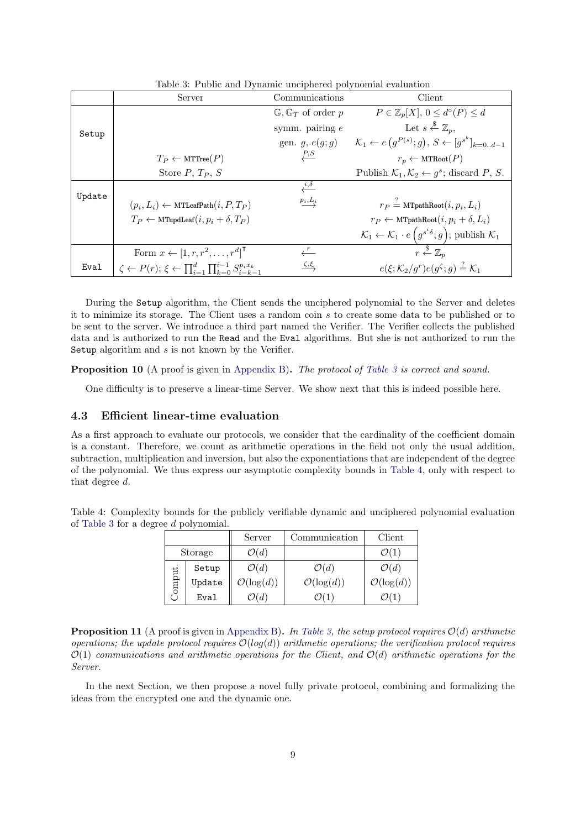<span id="page-8-0"></span>

|        | Server                                                                                         | Communications                           | Client                                                                                                |
|--------|------------------------------------------------------------------------------------------------|------------------------------------------|-------------------------------------------------------------------------------------------------------|
|        |                                                                                                | $\mathbb{G}$ , $\mathbb{G}_T$ of order p | $P \in \mathbb{Z}_p[X], 0 \leq d^{\circ}(P) \leq d$                                                   |
| Setup  |                                                                                                | symm. pairing $e$                        | Let $s \stackrel{\$}{\leftarrow} \mathbb{Z}_n$ ,                                                      |
|        |                                                                                                | gen. $g, e(g; g)$                        | $\mathcal{K}_1 \leftarrow e(g^{P(s)}; g), S \leftarrow [g^{s^k}]_{k=0d-1}$                            |
|        | $T_P \leftarrow \text{MTTree}(P)$                                                              | P, S                                     | $r_p \leftarrow \text{MTRoot}(P)$                                                                     |
|        | Store $P, T_P, S$                                                                              |                                          | Publish $\mathcal{K}_1, \mathcal{K}_2 \leftarrow g^s$ ; discard P, S.                                 |
|        |                                                                                                | $\stackrel{i,\delta}{\longleftarrow}$    |                                                                                                       |
| Update | $(p_i, L_i) \leftarrow \text{MTLeafPath}(i, P, T_P)$                                           | $\underline{p_i},\underline{L_i}$        | $r_P = \text{MTpathRoot}(i, p_i, L_i)$                                                                |
|        | $T_P \leftarrow \text{MTupdate}(i, p_i + \delta, T_P)$                                         |                                          | $r_P \leftarrow \text{MTpathRoot}(i, p_i + \delta, L_i)$                                              |
|        |                                                                                                |                                          | $\mathcal{K}_1 \leftarrow \mathcal{K}_1 \cdot e\left(g^{s^i\delta};g\right);$ publish $\mathcal{K}_1$ |
|        | Form $x \leftarrow [1, r, r^2, \dots, r^d]$                                                    |                                          | $r \stackrel{\$}{\leftarrow} \mathbb{Z}_n$                                                            |
| Eval   | $\zeta \leftarrow P(r); \, \xi \leftarrow \prod_{i=1}^d \prod_{k=0}^{i-1} S_{i-k-1}^{p_i x_k}$ | $\zeta,\xi$                              | $e(\xi; \mathcal{K}_2/q^r) e(g^{\zeta}; q) \stackrel{?}{=} \mathcal{K}_1$                             |

Table 3: Public and Dynamic unciphered polynomial evaluation

During the Setup algorithm, the Client sends the unciphered polynomial to the Server and deletes it to minimize its storage. The Client uses a random coin s to create some data to be published or to be sent to the server. We introduce a third part named the Verifier. The Verifier collects the published data and is authorized to run the Read and the Eval algorithms. But she is not authorized to run the Setup algorithm and s is not known by the Verifier.

<span id="page-8-2"></span>**Proposition 10** (A proof is given in [Appendix B\)](#page-21-8). The protocol of [Table 3](#page-8-0) is correct and sound.

One difficulty is to preserve a linear-time Server. We show next that this is indeed possible here.

## 4.3 Efficient linear-time evaluation

As a first approach to evaluate our protocols, we consider that the cardinality of the coefficient domain is a constant. Therefore, we count as arithmetic operations in the field not only the usual addition, subtraction, multiplication and inversion, but also the exponentiations that are independent of the degree of the polynomial. We thus express our asymptotic complexity bounds in [Table 4,](#page-8-1) only with respect to that degree d.

<span id="page-8-1"></span>Table 4: Complexity bounds for the publicly verifiable dynamic and unciphered polynomial evaluation of [Table 3](#page-8-0) for a degree d polynomial.

|         |        | Server                 | Communication          | Client                 |  |
|---------|--------|------------------------|------------------------|------------------------|--|
| Storage |        | $\mathcal{O}(d)$       |                        | $\mathcal{O}(1)$       |  |
|         | Setup  | $\mathcal{O}(d)$       | $\mathcal{O}(d)$       | $\mathcal{O}(d)$       |  |
| omput   | Update | $\mathcal{O}(\log(d))$ | $\mathcal{O}(\log(d))$ | $\mathcal{O}(\log(d))$ |  |
|         | Eval   | $\mathcal{O}(d)$       |                        |                        |  |

<span id="page-8-3"></span>**Proposition 11** (A proof is given in [Appendix B\)](#page-21-8). In [Table 3,](#page-8-0) the setup protocol requires  $O(d)$  arithmetic operations; the update protocol requires  $\mathcal{O}(log(d))$  arithmetic operations; the verification protocol requires  $\mathcal{O}(1)$  communications and arithmetic operations for the Client, and  $\mathcal{O}(d)$  arithmetic operations for the Server.

In the next Section, we then propose a novel fully private protocol, combining and formalizing the ideas from the encrypted one and the dynamic one.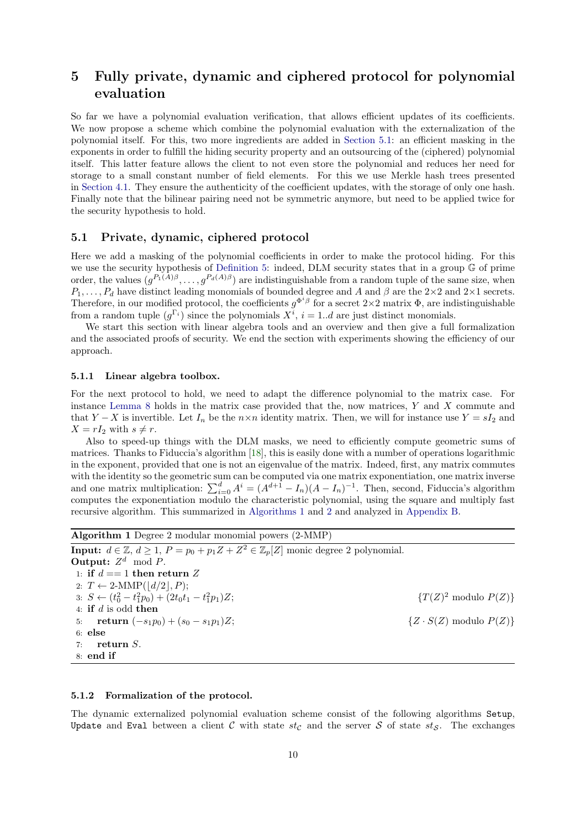# <span id="page-9-0"></span>5 Fully private, dynamic and ciphered protocol for polynomial evaluation

So far we have a polynomial evaluation verification, that allows efficient updates of its coefficients. We now propose a scheme which combine the polynomial evaluation with the externalization of the polynomial itself. For this, two more ingredients are added in [Section 5.1:](#page-9-1) an efficient masking in the exponents in order to fulfill the hiding security property and an outsourcing of the (ciphered) polynomial itself. This latter feature allows the client to not even store the polynomial and reduces her need for storage to a small constant number of field elements. For this we use Merkle hash trees presented in [Section 4.1.](#page-7-2) They ensure the authenticity of the coefficient updates, with the storage of only one hash. Finally note that the bilinear pairing need not be symmetric anymore, but need to be applied twice for the security hypothesis to hold.

### <span id="page-9-1"></span>5.1 Private, dynamic, ciphered protocol

Here we add a masking of the polynomial coefficients in order to make the protocol hiding. For this we use the security hypothesis of [Definition 5:](#page-5-0) indeed, DLM security states that in a group G of prime order, the values  $(g^{P_1(A)\beta}, \ldots, g^{P_d(A)\beta})$  are indistinguishable from a random tuple of the same size, when  $P_1, \ldots, P_d$  have distinct leading monomials of bounded degree and A and  $\beta$  are the 2×2 and 2×1 secrets. Therefore, in our modified protocol, the coefficients  $g^{\Phi^i\beta}$  for a secret  $2\times 2$  matrix  $\Phi$ , are indistinguishable from a random tuple  $(g^{\Gamma_i})$  since the polynomials  $X^i$ ,  $i = 1..d$  are just distinct monomials.

We start this section with linear algebra tools and an overview and then give a full formalization and the associated proofs of security. We end the section with experiments showing the efficiency of our approach.

#### 5.1.1 Linear algebra toolbox.

For the next protocol to hold, we need to adapt the difference polynomial to the matrix case. For instance [Lemma 8](#page-6-2) holds in the matrix case provided that the, now matrices, Y and X commute and that Y – X is invertible. Let  $I_n$  be the  $n \times n$  identity matrix. Then, we will for instance use Y =  $sI_2$  and  $X = rI_2$  with  $s \neq r$ .

Also to speed-up things with the DLM masks, we need to efficiently compute geometric sums of matrices. Thanks to Fiduccia's algorithm [\[18\]](#page-20-14), this is easily done with a number of operations logarithmic in the exponent, provided that one is not an eigenvalue of the matrix. Indeed, first, any matrix commutes with the identity so the geometric sum can be computed via one matrix exponentiation, one matrix inverse and one matrix multiplication:  $\sum_{i=0}^{d} A^{i} = (A^{d+1} - I_n)(A - I_n)^{-1}$ . Then, second, Fiduccia's algorithm computes the exponentiation modulo the characteristic polynomial, using the square and multiply fast recursive algorithm. This summarized in [Algorithms 1](#page-9-2) and [2](#page-10-0) and analyzed in [Appendix B.](#page-21-8)

<span id="page-9-2"></span>Algorithm 1 Degree 2 modular monomial powers (2-MMP) **Input:**  $d \in \mathbb{Z}, d \geq 1, P = p_0 + p_1 Z + Z^2 \in \mathbb{Z}_p[Z]$  monic degree 2 polynomial. **Output:**  $Z^d \mod P$ . 1: if  $d == 1$  then return Z 2:  $T \leftarrow 2\text{-MMP}(\lfloor d/2 \rfloor, P);$ 3:  $S \leftarrow (t_0^2 - t_1^2 p_0) + (2t_0 t_1 - t_1^2 p_1) Z;$  { $T(Z)$ }  ${T(Z)^2 \text{ modulo } P(Z)}$ 4: if d is odd then 5: **return**  $(-s_1p_0) + (s_0 - s_1p_1)Z$ ; { $Z \cdot S(Z)$  modulo  $P(Z)$ } 6: else 7: return S. 8: end if

### 5.1.2 Formalization of the protocol.

The dynamic externalized polynomial evaluation scheme consist of the following algorithms Setup, Update and Eval between a client C with state  $st_{\mathcal{C}}$  and the server S of state  $st_{\mathcal{S}}$ . The exchanges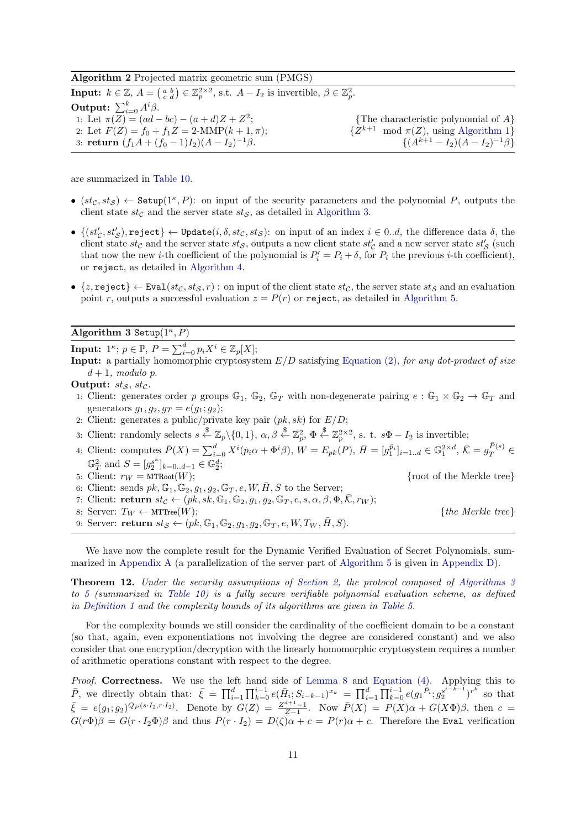Algorithm 2 Projected matrix geometric sum (PMGS)

<span id="page-10-0"></span>**Input:**  $k \in \mathbb{Z}$ ,  $A = \begin{pmatrix} a & b \\ c & d \end{pmatrix} \in \mathbb{Z}_p^{2 \times 2}$ , s.t.  $A - I_2$  is invertible,  $\beta \in \mathbb{Z}_p^2$ . **Output:**  $\sum_{i=0}^{k} A^i \beta$ . 1: Let  $\pi(Z) = (ad - bc) - (a + d)Z + Z^2$ {The characteristic polynomial of  $A$ } 2: Let  $F(Z) = f_0 + f_1 Z = 2\text{-MMP}(k+1, \pi);$  $\{Z^{k+1} \mod \pi(Z), \text{ using Algorithm 1}\}\$  $\{Z^{k+1} \mod \pi(Z), \text{ using Algorithm 1}\}\$  $\{Z^{k+1} \mod \pi(Z), \text{ using Algorithm 1}\}\$ 3: return  $(f_1A + (f_0 - 1)I_2)(A - I_2)^{-1}\beta$ .  $\{(A^{k+1} - I_2)(A - I_2)^{-1}\beta\}$ 

are summarized in [Table 10.](#page-22-0)

- $(st_{\mathcal{C}}, st_{\mathcal{S}}) \leftarrow$  Setup $(1^{\kappa}, P)$ : on input of the security parameters and the polynomial P, outputs the client state  $st_{\mathcal{C}}$  and the server state  $st_{\mathcal{S}}$ , as detailed in [Algorithm 3.](#page-10-1)
- $\bullet$   $\{(st_{\mathcal{C}}', st_{\mathcal{S}}'), \mathtt{reject}\} \leftarrow \mathtt{Update}(i, \delta, st_{\mathcal{C}}, st_{\mathcal{S}}): \mathtt{on} \mathtt{ input} \mathtt{ of } \mathtt{ an} \mathtt{ index } \mathtt{ } i \in 0..d, \mathtt{ the} \mathtt{ difference } \mathtt{ data } \mathtt{ } \delta, \mathtt{ the} \mathtt{ } \mathtt{ }$ client state  $st_{\mathcal{C}}$  and the server state  $st_{\mathcal{S}}$ , outputs a new client state  $st'_{\mathcal{C}}$  and a new server state  $st'_{\mathcal{S}}$  (such that now the new *i*-th coefficient of the polynomial is  $P'_i = P_i + \delta$ , for  $P_i$  the previous *i*-th coefficient), or reject, as detailed in [Algorithm 4.](#page-11-0)
- $\{z, \text{reject}\} \leftarrow \text{Eval}(st_{\mathcal{C}}, st_{\mathcal{S}}, r)$ : on input of the client state  $st_{\mathcal{C}},$  the server state  $st_{\mathcal{S}}$  and an evaluation point r, outputs a successful evaluation  $z = P(r)$  or reject, as detailed in [Algorithm 5.](#page-11-1)

### Algorithm 3 Setup $(1^{\kappa}, P)$

<span id="page-10-1"></span> $\textbf{Input:} \hspace{0.2cm} 1^{\kappa}; \, p \in \mathbb{P}, \, P = \sum_{i=0}^{d} p_i X^i \in \mathbb{Z}_p[X];$ 

**Input:** a partially homomorphic cryptosystem  $E/D$  satisfying [Equation \(2\),](#page-5-2) for any dot-product of size  $d+1$ , modulo p.

Output:  $st_S$ ,  $st_C$ .

- 1: Client: generates order p groups  $\mathbb{G}_1$ ,  $\mathbb{G}_2$ ,  $\mathbb{G}_T$  with non-degenerate pairing  $e : \mathbb{G}_1 \times \mathbb{G}_2 \to \mathbb{G}_T$  and generators  $g_1, g_2, g_T = e(g_1; g_2);$
- 2: Client: generates a public/private key pair  $(pk, sk)$  for  $E/D$ ;
- 3: Client: randomly selects  $s \stackrel{\$}{\leftarrow} \mathbb{Z}_p \setminus \{0,1\}, \alpha, \beta \stackrel{\$}{\leftarrow} \mathbb{Z}_p^2, \Phi \stackrel{\$}{\leftarrow} \mathbb{Z}_p^{2 \times 2}, \text{ s. t. } s\Phi I_2 \text{ is invertible};$
- 4: Client: computes  $\bar{P}(X) = \sum_{i=0}^{d} X^{i} (p_i \alpha + \Phi^{i} \beta), W = E_{pk}(P), \bar{H} = [g_1^{\bar{p}_i}]_{i=1..d} \in \mathbb{G}_1^{2 \times d}, \bar{K} = g_T^{\bar{P}(s)} \in$  $\mathbb{G}_T^2$  and  $S = [g_2^{s^k}]_{k=0...d-1} \in \mathbb{G}_2^d$ ;
- 5: Client:  $r_W = \text{MTRoot}(W);$  {root of the Merkle tree}
- 6: Client: sends  $pk$ ,  $\mathbb{G}_1$ ,  $\mathbb{G}_2$ ,  $g_1$ ,  $g_2$ ,  $\mathbb{G}_T$ ,  $e$ ,  $W$ ,  $\overline{H}$ ,  $S$  to the Server;
- 7: Client: return  $st_{\mathcal{C}} \leftarrow (pk, sk, \mathbb{G}_1, \mathbb{G}_2, g_1, g_2, \mathbb{G}_T, e, s, \alpha, \beta, \Phi, \overline{\mathcal{K}}, r_W);$
- 8: Server:  $T_W \leftarrow \text{MTTree}(W);$  {the Merkle tree}
- 9: Server: return  $st_{\mathcal{S}} \leftarrow (pk, \mathbb{G}_1, \mathbb{G}_2, g_1, g_2, \mathbb{G}_T, e, W, T_W, \overline{H}, S)$ .

We have now the complete result for the Dynamic Verified Evaluation of Secret Polynomials, summarized in [Appendix A](#page-21-11) (a parallelization of the server part of [Algorithm 5](#page-11-1) is given in [Appendix D\)](#page-24-0).

<span id="page-10-2"></span>Theorem 12. Under the security assumptions of [Section 2,](#page-3-0) the protocol composed of [Algorithms 3](#page-10-1) to [5](#page-11-1) (summarized in [Table 10\)](#page-22-0) is a fully secure verifiable polynomial evaluation scheme, as defined in [Definition 1](#page-3-1) and the complexity bounds of its algorithms are given in [Table 5.](#page-11-2)

For the complexity bounds we still consider the cardinality of the coefficient domain to be a constant (so that, again, even exponentiations not involving the degree are considered constant) and we also consider that one encryption/decryption with the linearly homomorphic cryptosystem requires a number of arithmetic operations constant with respect to the degree.

Proof. Correctness. We use the left hand side of [Lemma 8](#page-6-2) and [Equation \(4\).](#page-6-3) Applying this to  $\bar{P}$ , we directly obtain that:  $\bar{\xi} = \prod_{i=1}^d \prod_{k=0}^{i-1} e(\bar{H}_i; S_{i-k-1})^{x_k} = \prod_{i=1}^d \prod_{k=0}^{i-1} e(g_1^{\bar{P}_i}; g_2^{s^{i-k-1}})^{r^k}$  so that  $\bar{\xi} = e(g_1; g_2)^{Q_{\bar{P}}(s \cdot I_2, r \cdot I_2)}$ . Denote by  $G(Z) = \frac{Z^{d+1}-1}{Z-1}$ . Now  $\bar{P}(X) = P(X)\alpha + G(X\Phi)\beta$ , then  $c =$  $G(r\Phi)\beta = G(r \cdot I_2\Phi)\beta$  and thus  $\bar{P}(r \cdot I_2) = D(\zeta)\alpha + c = P(r)\alpha + c$ . Therefore the Eval verification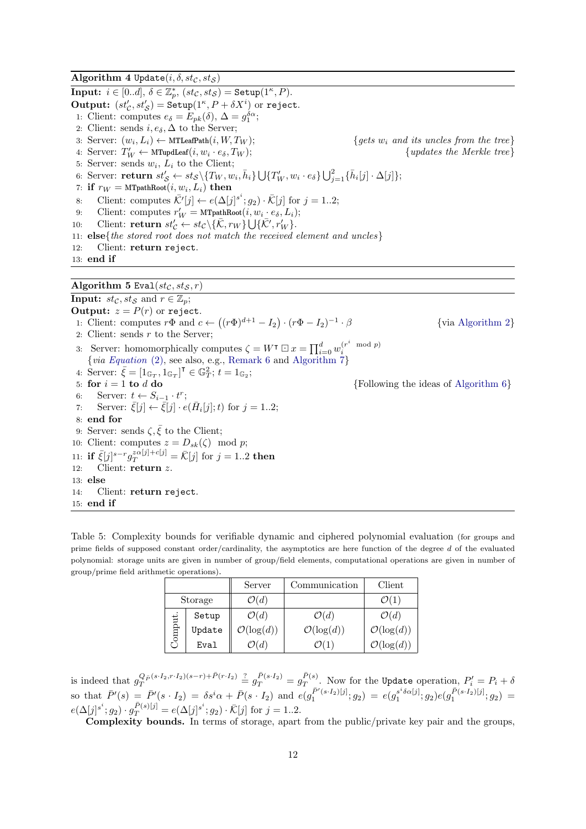<span id="page-11-1"></span><span id="page-11-0"></span>Algorithm 4 Update $(i, \delta, st_{\mathcal{C}}, st_{\mathcal{S}})$  $\overline{\text{Input: } i \in [0..d], \delta \in \mathbb{Z}_p^*, \ (st_\mathcal{C}, st_\mathcal{S}) = \text{Setup}(1^\kappa, P)}.$ **Output:**  $(st'_{\mathcal{C}}, st'_{\mathcal{S}}) = \text{Setup}(1^{\kappa}, P + \delta X^i)$  or reject. 1: Client: computes  $e_{\delta} = E_{pk}(\delta)$ ,  $\Delta = g_1^{\delta \alpha}$ ; 2: Client: sends  $i, e_{\delta}, \Delta$  to the Server; 3: Server:  $(w_i, L_i) \leftarrow \text{MTLeafPath}(i, W, T_W);$  $\{gets\}$ 4: Server:  $T'_W \leftarrow \text{MTupdate}(i, w_i)$  ${yndates the Merkle tree}$ 5: Server: sends  $w_i$ ,  $L_i$  to the Client; 6: Server: return  $st'_{\mathcal{S}} \leftarrow st_{\mathcal{S}} \setminus \{T_W, w_i, \bar{h}_i\} \bigcup \{T'_W, w_i \cdot e_{\delta}\} \bigcup_{j=1}^2 {\{\bar{h}_i[j] \cdot \Delta[j]\}};$ 7: if  $r_W = \text{MTpathRoot}(i, w_i, L_i)$  then 8: Client: computes  $\bar{\mathcal{K}}'[j] \leftarrow e(\Delta[j]^{s^i}; g_2) \cdot \bar{\mathcal{K}}[j]$  for  $j = 1..2;$ 9: Client: computes  $r'_W = \text{MTpathRoot}(i, w_i \cdot e_\delta, L_i);$ 10: Client: **return**  $st'_{\mathcal{C}} \leftarrow st_{\mathcal{C}} \setminus \{ \bar{\mathcal{K}}, r_W \} \cup \{ \bar{\mathcal{K}}', r'_W \}.$ 11:  $else{the stored root does not match the received element and uncles}$ 12: Client: return reject. 13: end if Algorithm 5 Eval $(st_{\mathcal{C}}, st_{\mathcal{S}}, r)$ **Input:**  $st_{\mathcal{C}}, st_{\mathcal{S}}$  and  $r \in \mathbb{Z}_n$ ; **Output:**  $z = P(r)$  or reject. 1: Client: computes  $r\Phi$  and  $c \leftarrow ((r\Phi)^{d+1} - I_2) \cdot (r\Phi - I_2)^{-1}$ · β {via [Algorithm 2](#page-10-0)} 2: Client: sends  $r$  to the Server; 3: Server: homomorphically computes  $\zeta = W^{\intercal} \boxdot x = \prod_{i=0}^{d} w_i^{(r^i \mod p)}$  ${via Equation (2), see also, e.g., Remark 6 and Algorithm 7}$  ${via Equation (2), see also, e.g., Remark 6 and Algorithm 7}$  ${via Equation (2), see also, e.g., Remark 6 and Algorithm 7}$  ${via Equation (2), see also, e.g., Remark 6 and Algorithm 7}$  ${via Equation (2), see also, e.g., Remark 6 and Algorithm 7}$  ${via Equation (2), see also, e.g., Remark 6 and Algorithm 7}$  ${via Equation (2), see also, e.g., Remark 6 and Algorithm 7}$ 4: Server:  $\bar{\xi} = [1_{\mathbb{G}_T}, 1_{\mathbb{G}_T}]^{\mathsf{T}} \in \mathbb{G}_T^2$ ;  $t = 1_{\mathbb{G}_2}$ ; 5: for  $i = 1$  to d do  $\{Following the ideas of Algorithm 6\}$  $\{Following the ideas of Algorithm 6\}$  $\{Following the ideas of Algorithm 6\}$ 6: Server:  $t \leftarrow S_{i-1} \cdot t^r$ ; 7: Server:  $\bar{\xi}[j] \leftarrow \bar{\xi}[j] \cdot e(\bar{H}_i[j]; t)$  for  $j = 1..2;$ 8: end for 9: Server: sends  $\zeta, \bar{\xi}$  to the Client; 10: Client: computes  $z = D_{sk}(\zeta) \mod p$ ; 11: if  $\bar{\xi}[j]^{s-r} g_T^{z\alpha[j]+c[j]} = \bar{\mathcal{K}}[j]$  for  $j = 1..2$  then 12: Client: return z. 13: else 14: Client: return reject. 15: end if

<span id="page-11-2"></span>Table 5: Complexity bounds for verifiable dynamic and ciphered polynomial evaluation (for groups and prime fields of supposed constant order/cardinality, the asymptotics are here function of the degree  $d$  of the evaluated polynomial: storage units are given in number of group/field elements, computational operations are given in number of group/prime field arithmetic operations).

|         |        | Server                 | Communication          | Client                 |  |
|---------|--------|------------------------|------------------------|------------------------|--|
| Storage |        | $\mathcal{O}(d)$       |                        |                        |  |
|         | Setup  | $\mathcal{O}(d)$       | $\mathcal{O}(d)$       | $\mathcal{O}(d)$       |  |
| $m$ qmc | Update | $\mathcal{O}(\log(d))$ | $\mathcal{O}(\log(d))$ | $\mathcal{O}(\log(d))$ |  |
|         | Eval   | $\mathcal{O}(d)$       |                        | $\mathcal{O}(\log(d))$ |  |

is indeed that  $g_T^{Q_P(s \cdot I_2, r \cdot I_2)(s-r) + \bar{P}(r \cdot I_2)} \stackrel{?}{=} g_T^{\bar{P}(s \cdot I_2)} = g_T^{\bar{P}(s)}$  $T^{P(s)}_T$ . Now for the Update operation,  $P'_i = P_i + \delta$ so that  $\bar{P}'(s) = \bar{P}'(s \cdot I_2) = \delta s^i \alpha + \bar{P}(s \cdot I_2)$  and  $e(g_1^{\bar{P}'(s \cdot I_2)[j]}; g_2) = e(g_1^{s^i \delta \alpha[j]}; g_2)e(g_1^{\bar{P}(s \cdot I_2)[j]}; g_2)$  $e(\Delta[j]^{s^i};g_2) \cdot g_T^{\bar{P}(s)[j]} = e(\Delta[j]^{s^i};g_2) \cdot \bar{\mathcal{K}}[j]$  for  $j = 1..2$ .

Complexity bounds. In terms of storage, apart from the public/private key pair and the groups,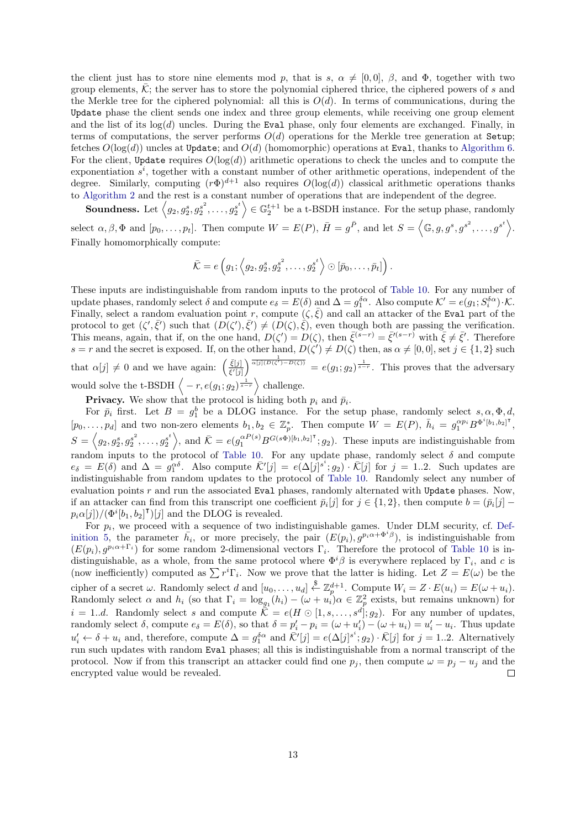the client just has to store nine elements mod p, that is s,  $\alpha \neq [0, 0], \beta$ , and  $\Phi$ , together with two group elements,  $\overline{\mathcal{K}}$ ; the server has to store the polynomial ciphered thrice, the ciphered powers of s and the Merkle tree for the ciphered polynomial: all this is  $O(d)$ . In terms of communications, during the Update phase the client sends one index and three group elements, while receiving one group element and the list of its  $log(d)$  uncles. During the Eval phase, only four elements are exchanged. Finally, in terms of computations, the server performs  $O(d)$  operations for the Merkle tree generation at Setup; fetches  $O(\log(d))$  uncles at Update; and  $O(d)$  (homomorphic) operations at Eval, thanks to [Algorithm 6.](#page-23-0) For the client, Update requires  $O(\log(d))$  arithmetic operations to check the uncles and to compute the exponentiation  $s^i$ , together with a constant number of other arithmetic operations, independent of the degree. Similarly, computing  $(r\Phi)^{d+1}$  also requires  $O(\log(d))$  classical arithmetic operations thanks to [Algorithm 2](#page-10-0) and the rest is a constant number of operations that are independent of the degree.

**Soundness.** Let  $\langle g_2, g_2^s, g_2^{s^2}, \ldots, g_2^{s^t} \rangle \in \mathbb{G}_2^{t+1}$  be a t-BSDH instance. For the setup phase, randomly select  $\alpha, \beta, \Phi$  and  $[p_0, \ldots, p_t]$ . Then compute  $W = E(P)$ ,  $\bar{H} = g^{\bar{P}}$ , and let  $S = \langle \mathbb{G}, g, g^s, g^{s^2}, \ldots, g^{s^t} \rangle$ . Finally homomorphically compute:

$$
\bar{\mathcal{K}} = e\left(g_1; \left\langle g_2, g_2^s, g_2^{s^2}, \dots, g_2^{s^t}\right\rangle \odot [\bar{p}_0, \dots, \bar{p}_t]\right).
$$

These inputs are indistinguishable from random inputs to the protocol of [Table 10.](#page-22-0) For any number of update phases, randomly select  $\delta$  and compute  $e_{\delta} = E(\delta)$  and  $\Delta = g_1^{\delta \alpha}$ . Also compute  $\mathcal{K}' = e(g_1; S_i^{\delta \alpha}) \cdot \mathcal{K}$ . Finally, select a random evaluation point r, compute  $(\zeta, \bar{\zeta})$  and call an attacker of the Eval part of the protocol to get  $(\zeta', \bar{\zeta}')$  such that  $(D(\zeta'), \bar{\zeta}') \neq (D(\zeta), \bar{\zeta})$ , even though both are passing the verification. This means, again, that if, on the one hand,  $D(\zeta') = D(\zeta)$ , then  $\bar{\zeta}^{(s-r)} = \bar{\zeta}'^{(s-r)}$  with  $\bar{\zeta} \neq \bar{\zeta}'$ . Therefore s = r and the secret is exposed. If, on the other hand,  $D(\zeta') \neq D(\zeta)$  then, as  $\alpha \neq [0,0]$ , set  $j \in \{1,2\}$  such that  $\alpha[j] \neq 0$  and we have again:  $\left(\frac{\bar{\xi}[j]}{\bar{\xi'}[j]}\right)$  $\frac{\bar{\xi}[j]}{\bar{\xi}'[j]}$   $\frac{1}{\alpha[j](D(\zeta')-D(\zeta))} = e(g_1; g_2)^{\frac{1}{s-r}}$ . This proves that the adversary would solve the t-BSDH  $\langle -r, e(g_1; g_2)^{\frac{1}{s-r}} \rangle$  challenge.

**Privacy.** We show that the protocol is hiding both  $p_i$  and  $\bar{p}_i$ .

For  $\bar{p}_i$  first. Let  $B = g_1^b$  be a DLOG instance. For the setup phase, randomly select  $s, \alpha, \Phi, d$ ,  $[p_0, \ldots, p_d]$  and two non-zero elements  $b_1, b_2 \in \mathbb{Z}_p^*$ . Then compute  $W = E(P)$ ,  $\bar{h}_i = g_1^{\alpha p_i} B^{\Phi^i[b_1, b_2]^{\intercal}}$ ,  $S = \langle g_2, g_2^s, g_2^{s^2}, \dots, g_2^{s^t} \rangle$ , and  $\overline{\mathcal{K}} = e(g_1^{\alpha P(s)} B^{G(s\Phi)[b_1, b_2]^{\mathsf{T}}}; g_2)$ . These inputs are indistinguishable from random inputs to the protocol of [Table 10.](#page-22-0) For any update phase, randomly select  $\delta$  and compute  $e_{\delta} = E(\delta)$  and  $\Delta = g_1^{\alpha\delta}$ . Also compute  $\overline{\mathcal{K}}'[j] = e(\Delta[j]^{s^i}; g_2) \cdot \overline{\mathcal{K}}[j]$  for  $j = 1..2$ . Such updates are indistinguishable from random updates to the protocol of [Table 10.](#page-22-0) Randomly select any number of evaluation points r and run the associated Eval phases, randomly alternated with Update phases. Now, if an attacker can find from this transcript one coefficient  $\bar{p}_i[j]$  for  $j \in \{1, 2\}$ , then compute  $b = (\bar{p}_i[j])$  $p_i \alpha[j]) / (\Phi^i[b_1, b_2]^{\mathsf{T}})[j]$  and the DLOG is revealed.

For  $p_i$ , we proceed with a sequence of two indistinguishable games. Under DLM security, cf. [Def](#page-5-0)[inition 5,](#page-5-0) the parameter  $\bar{h}_i$ , or more precisely, the pair  $(E(p_i), g^{p_i\alpha+\Phi^i\beta})$ , is indistinguishable from  $(E(p_i), g^{p_i \alpha + \Gamma_i})$  for some random 2-dimensional vectors  $\Gamma_i$ . Therefore the protocol of [Table 10](#page-22-0) is indistinguishable, as a whole, from the same protocol where  $\Phi^i\beta$  is everywhere replaced by  $\Gamma_i$ , and c is (now inefficiently) computed as  $\sum r^i \Gamma_i$ . Now we prove that the latter is hiding. Let  $Z = E(\omega)$  be the cipher of a secret  $\omega$ . Randomly select d and  $[u_0, \ldots, u_d] \stackrel{\$}{\leftarrow} \mathbb{Z}_p^{d+1}$ . Compute  $W_i = Z \cdot E(u_i) = E(\omega + u_i)$ . Randomly select  $\alpha$  and  $h_i$  (so that  $\Gamma_i = \log_{g_1}(h_i) - (\omega + u_i)\alpha \in \mathbb{Z}_p^2$  exists, but remains unknown) for  $i = 1..d$ . Randomly select s and compute  $\overline{\tilde{\mathcal{K}}} = e(H \odot [1, s, \ldots, s^d]; g_2)$ . For any number of updates, randomly select  $\delta$ , compute  $e_{\delta} = E(\delta)$ , so that  $\delta = p'_i - p_i = (\omega + u'_i) - (\omega + u_i) = u'_i - u_i$ . Thus update  $u'_i \leftarrow \delta + u_i$  and, therefore, compute  $\Delta = g_1^{\delta \alpha}$  and  $\overline{\mathcal{K}}'[j] = e(\Delta[j]^{s^i}; g_2) \cdot \overline{\mathcal{K}}[j]$  for  $j = 1..2$ . Alternatively run such updates with random Eval phases; all this is indistinguishable from a normal transcript of the protocol. Now if from this transcript an attacker could find one  $p_j$ , then compute  $\omega = p_j - u_j$  and the encrypted value would be revealed.  $\Box$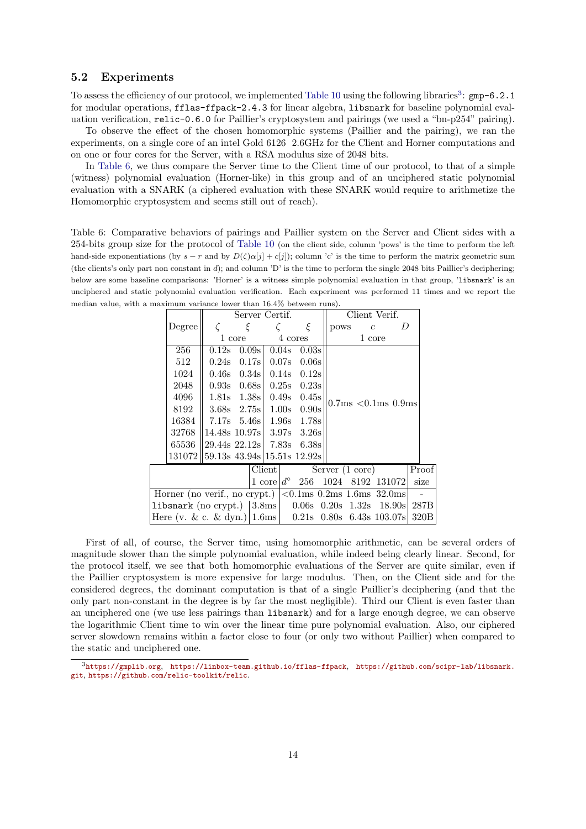### <span id="page-13-1"></span>5.2 Experiments

To assess the efficiency of our protocol, we implemented [Table 10](#page-22-0) using the following libraries<sup>[3](#page-13-2)</sup>: gmp-6.2.1 for modular operations, fflas-ffpack-2.4.3 for linear algebra, libsnark for baseline polynomial evaluation verification, relic-0.6.0 for Paillier's cryptosystem and pairings (we used a "bn-p254" pairing).

To observe the effect of the chosen homomorphic systems (Paillier and the pairing), we ran the experiments, on a single core of an intel Gold 6126 2.6GHz for the Client and Horner computations and on one or four cores for the Server, with a RSA modulus size of 2048 bits.

In [Table 6,](#page-13-0) we thus compare the Server time to the Client time of our protocol, to that of a simple (witness) polynomial evaluation (Horner-like) in this group and of an unciphered static polynomial evaluation with a SNARK (a ciphered evaluation with these SNARK would require to arithmetize the Homomorphic cryptosystem and seems still out of reach).

<span id="page-13-0"></span>Table 6: Comparative behaviors of pairings and Paillier system on the Server and Client sides with a 254-bits group size for the protocol of [Table 10](#page-22-0) (on the client side, column 'pows' is the time to perform the left hand-side exponentiations (by  $s - r$  and by  $D(\zeta)\alpha[j] + c[j]$ ); column 'c' is the time to perform the matrix geometric sum (the clients's only part non constant in d); and column 'D' is the time to perform the single 2048 bits Paillier's deciphering; below are some baseline comparisons: 'Horner' is a witness simple polynomial evaluation in that group, 'libsnark' is an unciphered and static polynomial evaluation verification. Each experiment was performed 11 times and we report the median value, with a maximum variance lower than 16.4% between runs).

|  |                                                                                                                      | Server Certif.                |                 |        |         |                 |  | Client Verif. |                                                     |                |   |       |  |
|--|----------------------------------------------------------------------------------------------------------------------|-------------------------------|-----------------|--------|---------|-----------------|--|---------------|-----------------------------------------------------|----------------|---|-------|--|
|  | Degree                                                                                                               |                               | ξ               |        |         | ξ               |  | pows          |                                                     | $\overline{c}$ | D |       |  |
|  |                                                                                                                      |                               | 1 core          |        | 4 cores |                 |  |               |                                                     | 1 core         |   |       |  |
|  | 256                                                                                                                  | 0.12 <sub>S</sub>             | 0.09s           |        |         | $0.04s$ 0.03s   |  |               |                                                     |                |   |       |  |
|  | 512                                                                                                                  | 0.24s                         | 0.17s           |        |         | $0.07s$ 0.06s   |  |               |                                                     |                |   |       |  |
|  | 1024                                                                                                                 |                               | $0.46s$ $0.34s$ |        |         | $0.14s$ $0.12s$ |  |               |                                                     |                |   |       |  |
|  | 2048                                                                                                                 |                               | $0.93s$ $0.68s$ |        |         | $0.25s$ $0.23s$ |  |               |                                                     |                |   |       |  |
|  | 4096                                                                                                                 |                               | 1.81s 1.38s     |        |         | $0.49s$ $0.45s$ |  |               |                                                     |                |   |       |  |
|  | 8192                                                                                                                 |                               | $3.68s$ $2.75s$ |        |         | $1.00s$ 0.90s   |  |               | $0.7ms < 0.1ms 0.9ms$                               |                |   |       |  |
|  | 16384                                                                                                                |                               | $7.17s$ 5.46s   |        |         | 1.96s 1.78s     |  |               |                                                     |                |   |       |  |
|  | 32768                                                                                                                | 14.48s 10.97s 3.97s 3.26s     |                 |        |         |                 |  |               |                                                     |                |   |       |  |
|  | 65536                                                                                                                | $29.44s$ $22.12s$ 7.83s 6.38s |                 |        |         |                 |  |               |                                                     |                |   |       |  |
|  | $131072  59.13s$ 43.94s $ 15.51s$ 12.92s                                                                             |                               |                 |        |         |                 |  |               |                                                     |                |   |       |  |
|  |                                                                                                                      |                               |                 | Client |         |                 |  |               | Server $(1 \text{ core})$                           |                |   | Proof |  |
|  |                                                                                                                      |                               |                 |        |         |                 |  |               | $1 \text{ core}   d^{\circ} 256 1024 8192 131072  $ |                |   | size  |  |
|  | Horner (no verif., no crypt.) $\vert \langle 0.1 \text{ms} \ 0.2 \text{ms} \ 1.6 \text{ms} \ 32.0 \text{ms} \vert \$ |                               |                 |        |         |                 |  |               |                                                     |                |   |       |  |
|  | libsnark (no crypt.) $ 3.8 \text{ms} $ 0.06s 0.20s 1.32s 18.90s                                                      |                               |                 |        |         |                 |  |               |                                                     |                |   | 287B  |  |
|  | Here (v. & c. & dyn.)   $1.6 \text{ms}$   $0.21 \text{s}$ $0.80 \text{s}$ $6.43 \text{s}$ $103.07 \text{s}$          |                               |                 |        |         |                 |  |               |                                                     |                |   | 320B  |  |

First of all, of course, the Server time, using homomorphic arithmetic, can be several orders of magnitude slower than the simple polynomial evaluation, while indeed being clearly linear. Second, for the protocol itself, we see that both homomorphic evaluations of the Server are quite similar, even if the Paillier cryptosystem is more expensive for large modulus. Then, on the Client side and for the considered degrees, the dominant computation is that of a single Paillier's deciphering (and that the only part non-constant in the degree is by far the most negligible). Third our Client is even faster than an unciphered one (we use less pairings than libsnark) and for a large enough degree, we can observe the logarithmic Client time to win over the linear time pure polynomial evaluation. Also, our ciphered server slowdown remains within a factor close to four (or only two without Paillier) when compared to the static and unciphered one.

<span id="page-13-2"></span><sup>3</sup><https://gmplib.org>, <https://linbox-team.github.io/fflas-ffpack>, [https://github.com/scipr-lab/libsnark.](https://github.com/scipr-lab/libsnark.git) [git](https://github.com/scipr-lab/libsnark.git), <https://github.com/relic-toolkit/relic>.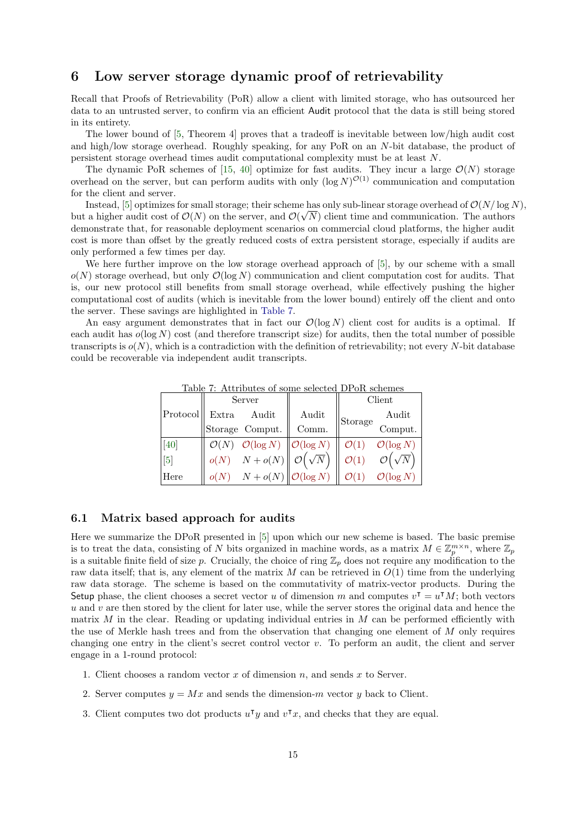# <span id="page-14-0"></span>6 Low server storage dynamic proof of retrievability

Recall that Proofs of Retrievability (PoR) allow a client with limited storage, who has outsourced her data to an untrusted server, to confirm via an efficient Audit protocol that the data is still being stored in its entirety.

The lower bound of [\[5,](#page-19-1) Theorem 4] proves that a tradeoff is inevitable between low/high audit cost and high/low storage overhead. Roughly speaking, for any PoR on an N-bit database, the product of persistent storage overhead times audit computational complexity must be at least N.

The dynamic PoR schemes of [\[15,](#page-20-9) [40\]](#page-21-0) optimize for fast audits. They incur a large  $\mathcal{O}(N)$  storage overhead on the server, but can perform audits with only  $(\log N)^{\mathcal{O}(1)}$  communication and computation for the client and server.

Instead, [\[5\]](#page-19-1) optimizes for small storage; their scheme has only sub-linear storage overhead of  $\mathcal{O}(N/\log N)$ , but a higher audit cost of  $\mathcal{O}(N)$  on the server, and  $\mathcal{O}(\sqrt{N})$  client time and communication. The authors demonstrate that, for reasonable deployment scenarios on commercial cloud platforms, the higher audit cost is more than offset by the greatly reduced costs of extra persistent storage, especially if audits are only performed a few times per day.

We here further improve on the low storage overhead approach of [\[5\]](#page-19-1), by our scheme with a small  $o(N)$  storage overhead, but only  $O(\log N)$  communication and client computation cost for audits. That is, our new protocol still benefits from small storage overhead, while effectively pushing the higher computational cost of audits (which is inevitable from the lower bound) entirely off the client and onto the server. These savings are highlighted in [Table 7.](#page-14-1)

<span id="page-14-1"></span>An easy argument demonstrates that in fact our  $\mathcal{O}(\log N)$  client cost for audits is a optimal. If each audit has  $o(\log N)$  cost (and therefore transcript size) for audits, then the total number of possible transcripts is  $o(N)$ , which is a contradiction with the definition of retrievability; not every N-bit database could be recoverable via independent audit transcripts.

| .                 |       | Server                                                           | тичной огроно рексей эт он репено<br>Client |                  |                         |
|-------------------|-------|------------------------------------------------------------------|---------------------------------------------|------------------|-------------------------|
| $ $ Protocol $ $  | Extra | Audit                                                            | Audit                                       | Storage          | Audit                   |
|                   |       | Storage Comput.                                                  | Comm.                                       |                  | Comput.                 |
| [40]              |       | $\mathcal{O}(N)$ $\mathcal{O}(\log N)$ $\ \mathcal{O}(\log N)\ $ |                                             | $\mathcal{O}(1)$ | $\mathcal{O}(\log N)$   |
| $\lceil 5 \rceil$ | o(N)  | $N + o(N) \left\  \right. {\mathcal{O}}\left(\sqrt{N}\right)$    |                                             |                  | $\mathcal{O}(\sqrt{N})$ |
| Here              |       | $N + o(N)$ $\ O(\log N)$                                         |                                             |                  | $\mathcal{O}(\log N)$   |

Table 7: Attributes of some selected DPoR schemes

### 6.1 Matrix based approach for audits

Here we summarize the DPoR presented in [\[5\]](#page-19-1) upon which our new scheme is based. The basic premise is to treat the data, consisting of N bits organized in machine words, as a matrix  $M \in \mathbb{Z}_p^{m \times n}$ , where  $\mathbb{Z}_p$ is a suitable finite field of size p. Crucially, the choice of ring  $\mathbb{Z}_p$  does not require any modification to the raw data itself; that is, any element of the matrix  $M$  can be retrieved in  $O(1)$  time from the underlying raw data storage. The scheme is based on the commutativity of matrix-vector products. During the Setup phase, the client chooses a secret vector u of dimension m and computes  $v^{\dagger} = u^{\dagger} M$ ; both vectors  $u$  and  $v$  are then stored by the client for later use, while the server stores the original data and hence the matrix  $M$  in the clear. Reading or updating individual entries in  $M$  can be performed efficiently with the use of Merkle hash trees and from the observation that changing one element of  $M$  only requires changing one entry in the client's secret control vector  $v$ . To perform an audit, the client and server engage in a 1-round protocol:

- 1. Client chooses a random vector x of dimension n, and sends x to Server.
- 2. Server computes  $y = Mx$  and sends the dimension-m vector y back to Client.
- 3. Client computes two dot products  $u^{\dagger}y$  and  $v^{\dagger}x$ , and checks that they are equal.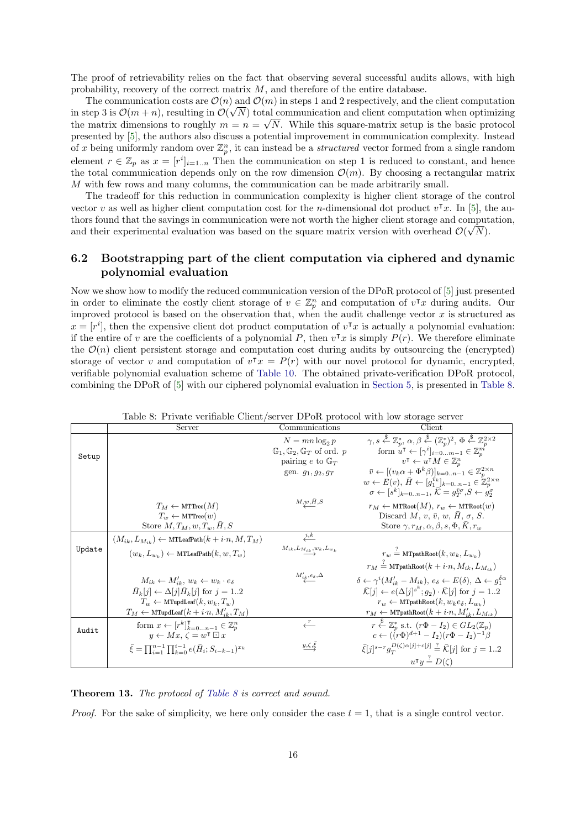The proof of retrievability relies on the fact that observing several successful audits allows, with high probability, recovery of the correct matrix  $M$ , and therefore of the entire database.

The communication costs are  $\mathcal{O}(n)$  and  $\mathcal{O}(m)$  in steps 1 and 2 respectively, and the client computation in step 3 is  $\mathcal{O}(m+n)$ , resulting in  $\mathcal{O}(\sqrt{N})$  total communication and client computation when optimizing the matrix dimensions to roughly  $m = n = \sqrt{N}$ . While this square-matrix setup is the basic protocol presented by [\[5\]](#page-19-1), the authors also discuss a potential improvement in communication complexity. Instead of x being uniformly random over  $\mathbb{Z}_p^n$ , it can instead be a *structured* vector formed from a single random element  $r \in \mathbb{Z}_p$  as  $x = [r^i]_{i=1..n}$  Then the communication on step 1 is reduced to constant, and hence the total communication depends only on the row dimension  $\mathcal{O}(m)$ . By choosing a rectangular matrix M with few rows and many columns, the communication can be made arbitrarily small.

The tradeoff for this reduction in communication complexity is higher client storage of the control vector v as well as higher client computation cost for the n-dimensional dot product  $v^{\dagger}x$ . In [\[5\]](#page-19-1), the authors found that the savings in communication were not worth the higher client storage and computation, and their experimental evaluation was based on the square matrix version with overhead  $\mathcal{O}(\sqrt{N})$ .

## 6.2 Bootstrapping part of the client computation via ciphered and dynamic polynomial evaluation

Now we show how to modify the reduced communication version of the DPoR protocol of [\[5\]](#page-19-1) just presented in order to eliminate the costly client storage of  $v \in \mathbb{Z}_p^n$  and computation of  $v^{\intercal}x$  during audits. Our improved protocol is based on the observation that, when the audit challenge vector  $x$  is structured as  $x = [r^i]$ , then the expensive client dot product computation of  $v^{\intercal}x$  is actually a polynomial evaluation: if the entire of v are the coefficients of a polynomial P, then  $v^{\intercal}x$  is simply  $P(r)$ . We therefore eliminate the  $\mathcal{O}(n)$  client persistent storage and computation cost during audits by outsourcing the (encrypted) storage of vector v and computation of  $v^{\intercal}x = P(r)$  with our novel protocol for dynamic, encrypted, verifiable polynomial evaluation scheme of [Table 10.](#page-22-0) The obtained private-verification DPoR protocol, combining the DPoR of [\[5\]](#page-19-1) with our ciphered polynomial evaluation in [Section 5,](#page-9-0) is presented in [Table 8.](#page-15-0)

<span id="page-15-0"></span>

|        | Server                                                                          | Communications                                             | Client                                                                                                                                                                    |
|--------|---------------------------------------------------------------------------------|------------------------------------------------------------|---------------------------------------------------------------------------------------------------------------------------------------------------------------------------|
|        |                                                                                 | $N = mn \log_2 p$                                          | $\gamma, s \stackrel{\$}{\leftarrow} \mathbb{Z}_n^*, \alpha, \beta \stackrel{\$}{\leftarrow} (\mathbb{Z}_n^*)^2, \Phi \stackrel{\$}{\leftarrow} \mathbb{Z}_n^{2\times 2}$ |
| Setup  |                                                                                 | $\mathbb{G}_1$ , $\mathbb{G}_2$ , $\mathbb{G}_T$ of ord. p | form $u^{\mathsf{T}} \leftarrow [\gamma^i]_{i=0m-1} \in \mathbb{Z}_p^m$                                                                                                   |
|        |                                                                                 | pairing e to $\mathbb{G}_T$                                | $v^{\mathsf{T}} \leftarrow u^{\mathsf{T}} M \in \mathbb{Z}_n^n$                                                                                                           |
|        |                                                                                 | gen. $g_1, g_2, g_T$                                       | $\overline{v} \leftarrow [(v_k \alpha + \Phi^k \beta)]_{k=0n-1} \in \mathbb{Z}_p^{2 \times n}$                                                                            |
|        |                                                                                 |                                                            | $w \leftarrow E(v), \, \bar{H} \leftarrow [g_1^{\bar{v}_k}]_{k=0n-1} \in \mathbb{Z}_n^{2 \times n}$                                                                       |
|        |                                                                                 |                                                            | $\sigma \leftarrow [s^k]_{k=0n-1}, \overline{K} = g_T^{\overline{v}\sigma}, S \leftarrow g_2^{\sigma}$                                                                    |
|        | $T_M \leftarrow \text{MTTree}(M)$                                               | M, u, H, S                                                 | $r_M \leftarrow \text{MTRoot}(M), r_w \leftarrow \text{MTRoot}(w)$                                                                                                        |
|        | $T_w \leftarrow \text{MTTree}(w)$                                               |                                                            | Discard $M, v, \bar{v}, w, H, \sigma, S$ .                                                                                                                                |
|        | Store $M, T_M, w, T_w, \bar{H}, S$                                              |                                                            | Store $\gamma$ , $r_M$ , $\alpha$ , $\beta$ , $s$ , $\Phi$ , $\bar{K}$ , $r_w$                                                                                            |
|        | $(M_{ik}, L_{M_{ik}}) \leftarrow \text{MTLeafPath}(k + i \cdot n, M, T_M)$      | $\stackrel{i,k}{\longleftarrow}$                           |                                                                                                                                                                           |
| Update | $(w_k, L_{w_k}) \leftarrow \text{MTLeafPath}(k, w, T_w)$                        | $M_{ik},L_{\frac{M_{ik}},w_k},L_{w_k}$                     | $r_w = \text{MTpathRoot}(k, w_k, L_{w_k})$                                                                                                                                |
|        |                                                                                 |                                                            | $r_M = \text{MTpathRoot}(k + i \cdot n, M_{ik}, L_{M_{ik}})$                                                                                                              |
|        | $M_{ik} \leftarrow M'_{ik}, w_k \leftarrow w_k \cdot e_{\delta}$                | $M'_{i\underline{k}}, e_{\delta}, \Delta$                  | $\delta \leftarrow \gamma^{i}(M'_{ik} - M_{ik}), e_{\delta} \leftarrow E(\delta), \Delta \leftarrow g_{1}^{\delta \alpha}$                                                |
|        | $\bar{H}_k[j] \leftarrow \Delta[j] \bar{H}_k[j]$ for $j = 12$                   |                                                            | $\bar{\mathcal{K}}[j] \leftarrow e(\Delta[j]^{s^k};q_2) \cdot \bar{\mathcal{K}}[j]$ for $j = 12$                                                                          |
|        | $T_w \leftarrow \text{MTupdate}(k, w_k, T_w)$                                   |                                                            | $r_w \leftarrow \text{MTpathRoot}(k, w_k e_{\delta}, L_{w_k})$                                                                                                            |
|        | $T_M \leftarrow \text{MTupdate}(k + i \cdot n, M'_{ik}, T_M)$                   |                                                            | $r_M \leftarrow \text{MTpathRoot}(k + i \cdot n, M'_{ik}, L_{M_{ik}})$                                                                                                    |
|        | form $x \leftarrow [r^k]_{k=0}^{\mathsf{T}}$ $_{n-1} \in \mathbb{Z}_p^n$        |                                                            | $r \stackrel{\$}{\leftarrow} \mathbb{Z}_p^*$ s.t. $(r\Phi - I_2) \in GL_2(\mathbb{Z}_p)$                                                                                  |
| Audit  | $y \leftarrow Mx, \zeta = w^{\intercal} \boxdot x$                              |                                                            | $c \leftarrow (\hat{r}\Phi)^{d+1} - I_2(r\Phi - I_2)^{-1}\beta$                                                                                                           |
|        | $\bar{\xi} = \prod_{i=1}^{n-1} \prod_{k=0}^{i-1} e(\bar{H}_i; S_{i-k-1})^{x_k}$ | $y,\zeta,\xi$                                              | $\bar{\xi}[j]^{s-r} g_{\tau}^{D(\zeta)\alpha[j]+c[j]} \stackrel{?}{=} \bar{\mathcal{K}}[j]$ for $j = 12$                                                                  |
|        |                                                                                 |                                                            | $u^{\mathsf{T}}y \stackrel{?}{=} D(\zeta)$                                                                                                                                |

Table 8: Private verifiable Client/server DPoR protocol with low storage server

Theorem 13. The protocol of [Table 8](#page-15-0) is correct and sound.

*Proof.* For the sake of simplicity, we here only consider the case  $t = 1$ , that is a single control vector.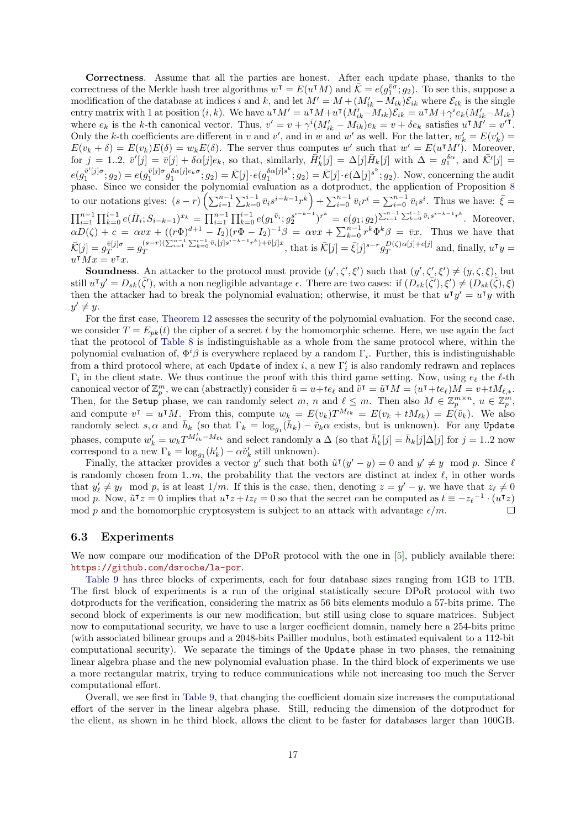Correctness. Assume that all the parties are honest. After each update phase, thanks to the correctness of the Merkle hash tree algorithms  $w^{\mathsf{T}} = E(u^{\mathsf{T}}M)$  and  $\bar{\mathcal{K}} = e(g^{\bar{v}\sigma}_{1};g_{2})$ . To see this, suppose a modification of the database at indices i and k, and let  $M' = M + (M'_{ik} - M_{ik})\mathcal{E}_{ik}$  where  $\mathcal{E}_{ik}$  is the single entry matrix with 1 at position  $(i, k)$ . We have  $u \cdot M' = u \cdot M + u \cdot (M'_{ik} - M_{ik}) \mathcal{E}_{ik} = u \cdot M + \gamma^i e_k (M'_{ik} - M_{ik})$ where  $e_k$  is the k-th canonical vector. Thus,  $v' = v + \gamma^i (M'_{ik} - M_{ik})e_k = v + \delta e_k$  satisfies  $u^{\dagger} M' = v'^{\dagger}$ . Only the k-th coefficients are different in v and v', and in w and w' as well. For the latter,  $w'_k = E(v'_k)$  $E(v_k + \delta) = E(v_k)E(\delta) = w_k E(\delta)$ . The server thus computes w' such that  $w' = E(u^{\dagger}M')$ . Moreover, for  $j = 1..2, \bar{v}'[j] = \bar{v}[j] + \delta \alpha[j]e_k$ , so that, similarly,  $\bar{H}'_k[j] = \Delta[j]\bar{H}_k[j]$  with  $\Delta = g_1^{\delta \alpha}$ , and  $\bar{\mathcal{K}}'[j] = \bar{\mathcal{K}}[j]$  $_{k}[J]$  –  $\Delta[J]$ *u* $_{k}[J]$  with  $\Delta - g_1$  $e(g_1^{\bar{v}'[j]\sigma};g_2) = e(g_1^{\bar{v}[j]\sigma} g_1^{\delta\alpha[j]e_k\sigma};g_2) = \bar{\mathcal{K}}[j] \cdot e(g_1^{\delta\alpha[j]s^k}$  $\hat{A}_1^{\alpha[j]s^k}; g_2$  =  $\bar{\mathcal{K}}[j] \cdot e(\Delta[j]^{s^k}; g_2)$ . Now, concerning the audit phase. Since we consider the polynomial evaluation as a dotproduct, the application of Proposition [8](#page-6-2) to our notations gives:  $(s - r) \left( \sum_{i=1}^{n-1} \sum_{k=0}^{i-1} \bar{v}_i s^{i-k-1} r^k \right) + \sum_{i=0}^{n-1} \bar{v}_i r^i = \sum_{i=0}^{n-1} \bar{v}_i s^i$ . Thus we have:  $\bar{\xi} =$  $\prod_{i=1}^{n-1} \prod_{k=0}^{i-1} e(\bar{H}_i; S_{i-k-1})^{x_k} = \prod_{i=1}^{n-1} \prod_{k=0}^{i-1} e(g_1^{\bar{v}_i}; g_2^{s^{i-k-1}})^{r^k} = e(g_1; g_2)^{\sum_{i=1}^{n-1} \sum_{k=0}^{i-1} \bar{v}_i s^{i-k-1} r^k}$ . Moreover,  $\alpha D(\zeta) + c = \alpha vx + ((r\Phi)^{d+1} - I_2)(r\Phi - I_2)^{-1}\beta = \alpha vx + \sum_{k=0}^{n-1} r^k \Phi^k \beta = \bar{v}x$ . Thus we have that  $\bar{\mathcal{K}}[j] = g_T^{\bar{v}[j]\sigma} = g_T^{(s-r)(\sum_{i=1}^{n-1}\sum_{k=0}^{i-1}\bar{v}_i[j]s^{i-k-1}r^k) + \bar{v}[j]x}$  $\bar{X}(s-r)(\sum_{i=1}^{n-1}\sum_{k=0}^{n-1}\bar{v}_i|j|s^{i-k-1}r^k)+\bar{v}|j|x,$  that is  $\bar{\mathcal{K}}[j]=\bar{\xi}[j]^{s-r}g_T^{D(\zeta)\alpha[j]+c[j]}$  $_{T}^{D(\zeta)\alpha[j]+c[j]}$  and, finally,  $u^{\dagger}y=$  $u^{\dagger}Mx = v^{\dagger}x.$  $\overline{M}x = v^{\intercal}x.$ 

**Soundness.** An attacker to the protocol must provide  $(y', \zeta', \xi')$  such that  $(y', \zeta', \xi') \neq (y, \zeta, \xi)$ , but still  $u^{\intercal} y' = D_{sk}(\bar{\zeta}')$ , with a non negligible advantage  $\epsilon$ . There are two cases: if  $(D_{sk}(\bar{\zeta}'), \xi') \neq (D_{sk}(\bar{\zeta}), \xi)$ then the attacker had to break the polynomial evaluation; otherwise, it must be that  $u^T y' = u^T y$  with  $y' \neq y$ .

For the first case, [Theorem 12](#page-10-2) assesses the security of the polynomial evaluation. For the second case, we consider  $T = E_{pk}(t)$  the cipher of a secret t by the homomorphic scheme. Here, we use again the fact that the protocol of [Table 8](#page-15-0) is indistinguishable as a whole from the same protocol where, within the polynomial evaluation of,  $\Phi^i\beta$  is everywhere replaced by a random  $\Gamma_i$ . Further, this is indistinguishable from a third protocol where, at each Update of index  $i$ , a new  $\Gamma'_i$  is also randomly redrawn and replaces  $\Gamma_i$  in the client state. We thus continue the proof with this third game setting. Now, using  $e_\ell$  the  $\ell$ -th canonical vector of  $\mathbb{Z}_p^m$ , we can (abstractly) consider  $\tilde{u} = u + te_\ell$  and  $\tilde{v}^\intercal = \tilde{u}^\intercal M = (u^\intercal + te_\ell)M = v + tM_{\ell,*}$ . Then, for the Setup phase, we can randomly select m, n and  $\ell \leq m$ . Then also  $M \in \mathbb{Z}_p^{m \times n}$ ,  $u \in \mathbb{Z}_p^m$ , and compute  $v^{\dagger} = u^{\dagger} M$ . From this, compute  $w_k = E(v_k) T^{M_{\ell k}} = E(v_k + t M_{\ell k}) = E(\tilde{v}_k)$ . We also randomly select s,  $\alpha$  and  $\bar{h}_k$  (so that  $\Gamma_k = \log_{g_1}(\bar{h}_k) - \tilde{v}_k \alpha$  exists, but is unknown). For any Update phases, compute  $w'_k = w_k T^{M'_{\ell k}-M_{\ell k}}$  and select randomly a  $\Delta$  (so that  $\bar{h}'_k[j] = \bar{h}_k[j] \Delta[j]$  for  $j = 1..2$  now correspond to a new  $\Gamma_k = \log_{g_1}(h'_k) - \alpha \tilde{v}'_k$  still unknown).

Finally, the attacker provides a vector y' such that both  $\tilde{u}^{\mathsf{T}}(y'-y) = 0$  and  $y' \neq y \mod p$ . Since  $\ell$ is randomly chosen from 1.m, the probability that the vectors are distinct at index  $\ell$ , in other words that  $y'_\ell \neq y_\ell \mod p$ , is at least  $1/m$ . If this is the case, then, denoting  $z = y' - y$ , we have that  $z_\ell \neq 0$ mod p. Now,  $\tilde{u}^{\intercal} z = 0$  implies that  $u^{\intercal} z + t z_{\ell} = 0$  so that the secret can be computed as  $t \equiv -z_{\ell}^{-1} \cdot (u^{\intercal} z)$ mod p and the homomorphic cryptosystem is subject to an attack with advantage  $\epsilon/m$ .  $\Box$ 

#### <span id="page-16-0"></span>6.3 Experiments

We now compare our modification of the DPoR protocol with the one in [\[5\]](#page-19-1), publicly available there: <https://github.com/dsroche/la-por>.

[Table 9](#page-17-0) has three blocks of experiments, each for four database sizes ranging from 1GB to 1TB. The first block of experiments is a run of the original statistically secure DPoR protocol with two dotproducts for the verification, considering the matrix as 56 bits elements modulo a 57-bits prime. The second block of experiments is our new modification, but still using close to square matrices. Subject now to computational security, we have to use a larger coefficient domain, namely here a 254-bits prime (with associated bilinear groups and a 2048-bits Paillier modulus, both estimated equivalent to a 112-bit computational security). We separate the timings of the Update phase in two phases, the remaining linear algebra phase and the new polynomial evaluation phase. In the third block of experiments we use a more rectangular matrix, trying to reduce communications while not increasing too much the Server computational effort.

Overall, we see first in [Table 9,](#page-17-0) that changing the coefficient domain size increases the computational effort of the server in the linear algebra phase. Still, reducing the dimension of the dotproduct for the client, as shown in he third block, allows the client to be faster for databases larger than 100GB.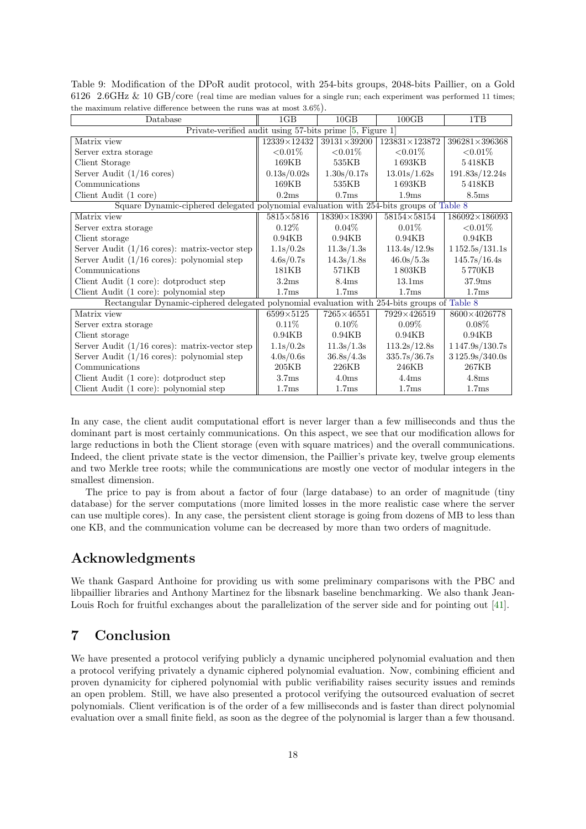| Database                                                                                     | 1 <sub>GB</sub>   | 10GB               | 100GB                  | 1TB                    |
|----------------------------------------------------------------------------------------------|-------------------|--------------------|------------------------|------------------------|
| Private-verified audit using 57-bits prime [5, Figure 1]                                     |                   |                    |                        |                        |
| Matrix view                                                                                  | 12339×12432       | $39131\times39200$ | $123831 \times 123872$ | $396281 \times 396368$ |
| Server extra storage                                                                         | ${<}0.01\%$       | ${<}0.01\%$        | ${<}0.01\%$            | ${<}0.01%$             |
| Client Storage                                                                               | 169KB             | 535KB              | 1693KB                 | 5418KB                 |
| Server Audit $(1/16 \text{ cores})$                                                          | 0.13s/0.02s       | 1.30s/0.17s        | 13.01s/1.62s           | 191.83s/12.24s         |
| Communications                                                                               | 169KB             | 535KB              | 1693KB                 | 5418KB                 |
| Client Audit (1 core)                                                                        | 0.2ms             | 0.7ms              | 1.9 <sub>ms</sub>      | $8.5 \mathrm{ms}$      |
| Square Dynamic-ciphered delegated polynomial evaluation with 254-bits groups of Table 8      |                   |                    |                        |                        |
| Matrix view                                                                                  | $5815\times5816$  | $18390\times18390$ | 58154×58154            | $186092\times186093$   |
| Server extra storage                                                                         | $0.12\%$          | $0.04\%$           | $0.01\%$               | ${<}0.01%$             |
| Client storage                                                                               | 0.94KB            | 0.94KB             | 0.94KB                 | 0.94KB                 |
| Server Audit $(1/16 \text{ cores})$ : matrix-vector step                                     | 1.1s/0.2s         | 11.3s/1.3s         | 113.4s/12.9s           | 1152.5s/131.1s         |
| Server Audit $(1/16 \text{ cores})$ : polynomial step                                        | 4.6s/0.7s         | 14.3s/1.8s         | 46.0s/5.3s             | 145.7s/16.4s           |
| Communications                                                                               | 181KB             | 571KB              | 1803KB                 | 5770KB                 |
| Client Audit (1 core): dotproduct step                                                       | 3.2ms             | 8.4 <sub>ms</sub>  | 13.1 <sub>ms</sub>     | 37.9ms                 |
| Client Audit (1 core): polynomial step                                                       | 1.7 <sub>ms</sub> | 1.7 <sub>ms</sub>  | 1.7 <sub>ms</sub>      | 1.7 <sub>ms</sub>      |
| Rectangular Dynamic-ciphered delegated polynomial evaluation with 254-bits groups of Table 8 |                   |                    |                        |                        |
| Matrix view                                                                                  | $6599\times5125$  | 7265×46551         | 7929×426519            | 8600×4026778           |
| Server extra storage                                                                         | $0.11\%$          | $0.10\%$           | $0.09\%$               | $0.08\%$               |
| Client storage                                                                               | 0.94KB            | 0.94KB             | 0.94KB                 | 0.94KB                 |
| Server Audit $(1/16 \text{ cores})$ : matrix-vector step                                     | 1.1s/0.2s         | 11.3s/1.3s         | 113.2s/12.8s           | 1147.9s/130.7s         |
| Server Audit $(1/16 \text{ cores})$ : polynomial step                                        | 4.0s/0.6s         | 36.8s/4.3s         | 335.7s/36.7s           | 3125.9s/340.0s         |
| Communications                                                                               | 205KB             | 226KB              | 246KB                  | 267KB                  |
| Client Audit (1 core): dotproduct step                                                       | 3.7 <sub>ms</sub> | 4.0 <sub>ms</sub>  | 4.4ms                  | 4.8 <sub>ms</sub>      |
| Client Audit (1 core): polynomial step                                                       | 1.7 <sub>ms</sub> | 1.7 <sub>ms</sub>  | 1.7 <sub>ms</sub>      | 1.7 <sub>ms</sub>      |

<span id="page-17-0"></span>Table 9: Modification of the DPoR audit protocol, with 254-bits groups, 2048-bits Paillier, on a Gold 6126 2.6GHz & 10 GB/core (real time are median values for a single run; each experiment was performed 11 times; the maximum relative difference between the runs was at most 3.6%).

In any case, the client audit computational effort is never larger than a few milliseconds and thus the dominant part is most certainly communications. On this aspect, we see that our modification allows for large reductions in both the Client storage (even with square matrices) and the overall communications. Indeed, the client private state is the vector dimension, the Paillier's private key, twelve group elements and two Merkle tree roots; while the communications are mostly one vector of modular integers in the smallest dimension.

The price to pay is from about a factor of four (large database) to an order of magnitude (tiny database) for the server computations (more limited losses in the more realistic case where the server can use multiple cores). In any case, the persistent client storage is going from dozens of MB to less than one KB, and the communication volume can be decreased by more than two orders of magnitude.

# Acknowledgments

We thank Gaspard Anthoine for providing us with some preliminary comparisons with the PBC and libpaillier libraries and Anthony Martinez for the libsnark baseline benchmarking. We also thank Jean-Louis Roch for fruitful exchanges about the parallelization of the server side and for pointing out [\[41\]](#page-21-12).

# 7 Conclusion

We have presented a protocol verifying publicly a dynamic unciphered polynomial evaluation and then a protocol verifying privately a dynamic ciphered polynomial evaluation. Now, combining efficient and proven dynamicity for ciphered polynomial with public verifiability raises security issues and reminds an open problem. Still, we have also presented a protocol verifying the outsourced evaluation of secret polynomials. Client verification is of the order of a few milliseconds and is faster than direct polynomial evaluation over a small finite field, as soon as the degree of the polynomial is larger than a few thousand.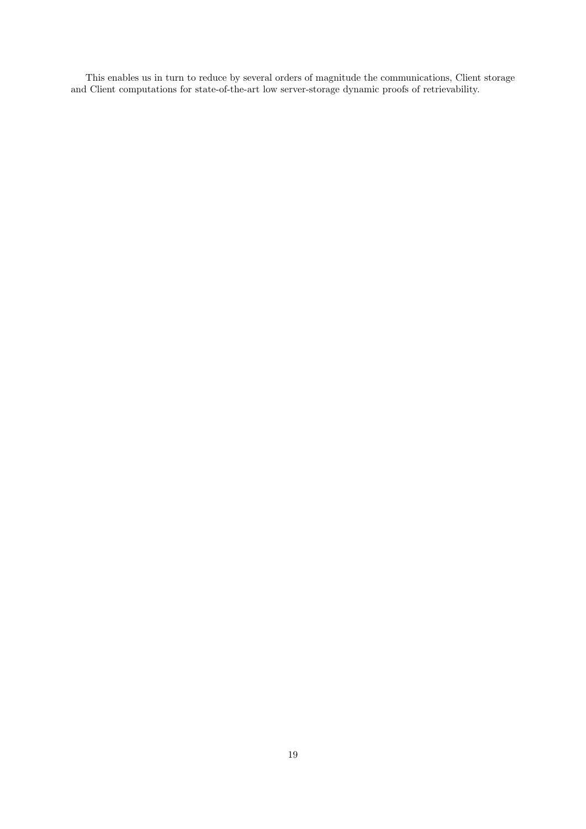This enables us in turn to reduce by several orders of magnitude the communications, Client storage and Client computations for state-of-the-art low server-storage dynamic proofs of retrievability.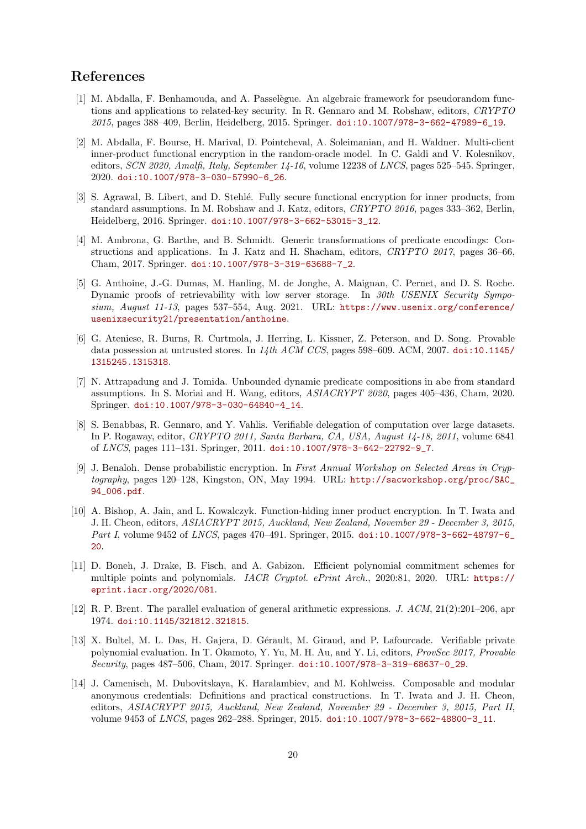# References

- <span id="page-19-8"></span>[1] M. Abdalla, F. Benhamouda, and A. Passelègue. An algebraic framework for pseudorandom functions and applications to related-key security. In R. Gennaro and M. Robshaw, editors, CRYPTO 2015, pages 388–409, Berlin, Heidelberg, 2015. Springer. [doi:10.1007/978-3-662-47989-6\\_19](https://doi.org/10.1007/978-3-662-47989-6_19).
- <span id="page-19-5"></span>[2] M. Abdalla, F. Bourse, H. Marival, D. Pointcheval, A. Soleimanian, and H. Waldner. Multi-client inner-product functional encryption in the random-oracle model. In C. Galdi and V. Kolesnikov, editors, SCN 2020, Amalfi, Italy, September 14-16, volume 12238 of LNCS, pages 525–545. Springer, 2020. [doi:10.1007/978-3-030-57990-6\\_26](https://doi.org/10.1007/978-3-030-57990-6_26).
- <span id="page-19-9"></span>[3] S. Agrawal, B. Libert, and D. Stehlé. Fully secure functional encryption for inner products, from standard assumptions. In M. Robshaw and J. Katz, editors, CRYPTO 2016, pages 333–362, Berlin, Heidelberg, 2016. Springer. [doi:10.1007/978-3-662-53015-3\\_12](https://doi.org/10.1007/978-3-662-53015-3_12).
- <span id="page-19-10"></span>[4] M. Ambrona, G. Barthe, and B. Schmidt. Generic transformations of predicate encodings: Constructions and applications. In J. Katz and H. Shacham, editors, CRYPTO 2017, pages 36–66, Cham, 2017. Springer. [doi:10.1007/978-3-319-63688-7\\_2](https://doi.org/10.1007/978-3-319-63688-7_2).
- <span id="page-19-1"></span>[5] G. Anthoine, J.-G. Dumas, M. Hanling, M. de Jonghe, A. Maignan, C. Pernet, and D. S. Roche. Dynamic proofs of retrievability with low server storage. In 30th USENIX Security Symposium, August 11-13, pages 537–554, Aug. 2021. URL: [https://www.usenix.org/conference/](https://www.usenix.org/conference/usenixsecurity21/presentation/anthoine) [usenixsecurity21/presentation/anthoine](https://www.usenix.org/conference/usenixsecurity21/presentation/anthoine).
- <span id="page-19-0"></span>[6] G. Ateniese, R. Burns, R. Curtmola, J. Herring, L. Kissner, Z. Peterson, and D. Song. Provable data possession at untrusted stores. In  $14th$  ACM CCS, pages 598–609. ACM, 2007. [doi:10.1145/](https://doi.org/10.1145/1315245.1315318) [1315245.1315318](https://doi.org/10.1145/1315245.1315318).
- <span id="page-19-11"></span>[7] N. Attrapadung and J. Tomida. Unbounded dynamic predicate compositions in abe from standard assumptions. In S. Moriai and H. Wang, editors, ASIACRYPT 2020, pages 405–436, Cham, 2020. Springer. [doi:10.1007/978-3-030-64840-4\\_14](https://doi.org/10.1007/978-3-030-64840-4_14).
- <span id="page-19-7"></span>[8] S. Benabbas, R. Gennaro, and Y. Vahlis. Verifiable delegation of computation over large datasets. In P. Rogaway, editor, CRYPTO 2011, Santa Barbara, CA, USA, August 14-18, 2011, volume 6841 of LNCS, pages 111–131. Springer, 2011. [doi:10.1007/978-3-642-22792-9\\_7](https://doi.org/10.1007/978-3-642-22792-9_7).
- <span id="page-19-12"></span>[9] J. Benaloh. Dense probabilistic encryption. In First Annual Workshop on Selected Areas in Cryptography, pages 120–128, Kingston, ON, May 1994. URL: [http://sacworkshop.org/proc/SAC\\_](http://sacworkshop.org/proc/SAC_94_006.pdf) [94\\_006.pdf](http://sacworkshop.org/proc/SAC_94_006.pdf).
- <span id="page-19-4"></span>[10] A. Bishop, A. Jain, and L. Kowalczyk. Function-hiding inner product encryption. In T. Iwata and J. H. Cheon, editors, ASIACRYPT 2015, Auckland, New Zealand, November 29 - December 3, 2015, Part I, volume 9452 of LNCS, pages 470–491. Springer, 2015. doi:10.1007/978-3-662-48797-6 [20](https://doi.org/10.1007/978-3-662-48797-6_20).
- <span id="page-19-3"></span>[11] D. Boneh, J. Drake, B. Fisch, and A. Gabizon. Efficient polynomial commitment schemes for multiple points and polynomials. IACR Cryptol. ePrint Arch., 2020:81, 2020. URL: [https://](https://eprint.iacr.org/2020/081) [eprint.iacr.org/2020/081](https://eprint.iacr.org/2020/081).
- <span id="page-19-13"></span>[12] R. P. Brent. The parallel evaluation of general arithmetic expressions. J. ACM, 21(2):201–206, apr 1974. [doi:10.1145/321812.321815](https://doi.org/10.1145/321812.321815).
- <span id="page-19-6"></span>[13] X. Bultel, M. L. Das, H. Gajera, D. Gérault, M. Giraud, and P. Lafourcade. Verifiable private polynomial evaluation. In T. Okamoto, Y. Yu, M. H. Au, and Y. Li, editors, *ProvSec 2017, Provable* Security, pages 487–506, Cham, 2017. Springer. [doi:10.1007/978-3-319-68637-0\\_29](https://doi.org/10.1007/978-3-319-68637-0_29).
- <span id="page-19-2"></span>[14] J. Camenisch, M. Dubovitskaya, K. Haralambiev, and M. Kohlweiss. Composable and modular anonymous credentials: Definitions and practical constructions. In T. Iwata and J. H. Cheon, editors, ASIACRYPT 2015, Auckland, New Zealand, November 29 - December 3, 2015, Part II, volume 9453 of *LNCS*, pages 262-288. Springer, 2015. [doi:10.1007/978-3-662-48800-3\\_11](https://doi.org/10.1007/978-3-662-48800-3_11).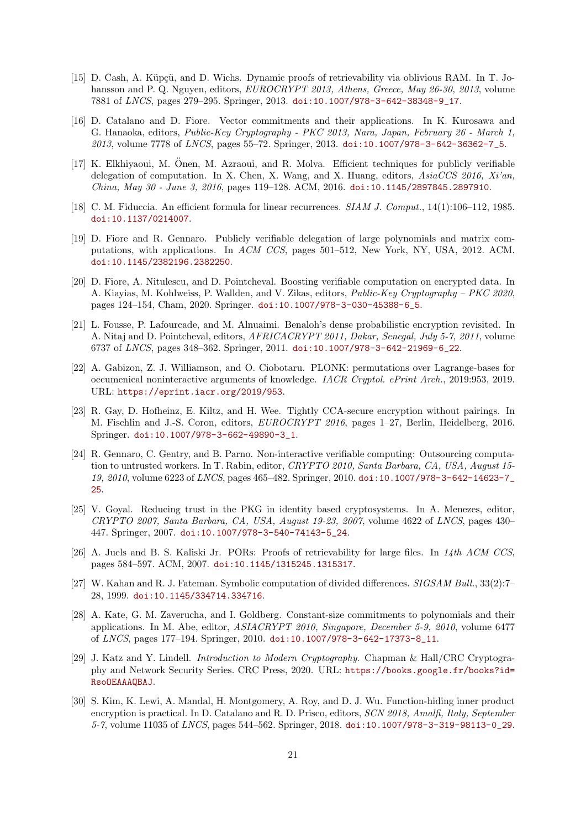- <span id="page-20-9"></span>[15] D. Cash, A. Küpcü, and D. Wichs. Dynamic proofs of retrievability via oblivious RAM. In T. Johansson and P. Q. Nguyen, editors, EUROCRYPT 2013, Athens, Greece, May 26-30, 2013, volume 7881 of LNCS, pages 279–295. Springer, 2013. [doi:10.1007/978-3-642-38348-9\\_17](https://doi.org/10.1007/978-3-642-38348-9_17).
- <span id="page-20-3"></span>[16] D. Catalano and D. Fiore. Vector commitments and their applications. In K. Kurosawa and G. Hanaoka, editors, Public-Key Cryptography - PKC 2013, Nara, Japan, February 26 - March 1, 2013, volume 7778 of LNCS, pages 55-72. Springer, 2013. [doi:10.1007/978-3-642-36362-7\\_5](https://doi.org/10.1007/978-3-642-36362-7_5).
- <span id="page-20-8"></span>[17] K. Elkhiyaoui, M. Onen, M. Azraoui, and R. Molva. Efficient techniques for publicly verifiable ¨ delegation of computation. In X. Chen, X. Wang, and X. Huang, editors, AsiaCCS 2016, Xi'an, China, May 30 - June 3, 2016, pages 119–128. ACM, 2016. [doi:10.1145/2897845.2897910](https://doi.org/10.1145/2897845.2897910).
- <span id="page-20-14"></span>[18] C. M. Fiduccia. An efficient formula for linear recurrences. SIAM J. Comput., 14(1):106-112, 1985. [doi:10.1137/0214007](https://doi.org/10.1137/0214007).
- <span id="page-20-7"></span>[19] D. Fiore and R. Gennaro. Publicly verifiable delegation of large polynomials and matrix computations, with applications. In ACM CCS, pages 501–512, New York, NY, USA, 2012. ACM. [doi:10.1145/2382196.2382250](https://doi.org/10.1145/2382196.2382250).
- <span id="page-20-5"></span>[20] D. Fiore, A. Nitulescu, and D. Pointcheval. Boosting verifiable computation on encrypted data. In A. Kiayias, M. Kohlweiss, P. Wallden, and V. Zikas, editors, Public-Key Cryptography – PKC 2020, pages 124–154, Cham, 2020. Springer. [doi:10.1007/978-3-030-45388-6\\_5](https://doi.org/10.1007/978-3-030-45388-6_5).
- <span id="page-20-13"></span>[21] L. Fousse, P. Lafourcade, and M. Alnuaimi. Benaloh's dense probabilistic encryption revisited. In A. Nitaj and D. Pointcheval, editors, AFRICACRYPT 2011, Dakar, Senegal, July 5-7, 2011, volume 6737 of LNCS, pages 348–362. Springer, 2011. [doi:10.1007/978-3-642-21969-6\\_22](https://doi.org/10.1007/978-3-642-21969-6_22).
- <span id="page-20-4"></span>[22] A. Gabizon, Z. J. Williamson, and O. Ciobotaru. PLONK: permutations over Lagrange-bases for oecumenical noninteractive arguments of knowledge. IACR Cryptol. ePrint Arch., 2019:953, 2019. URL: <https://eprint.iacr.org/2019/953>.
- <span id="page-20-12"></span>[23] R. Gay, D. Hofheinz, E. Kiltz, and H. Wee. Tightly CCA-secure encryption without pairings. In M. Fischlin and J.-S. Coron, editors, EUROCRYPT 2016, pages 1–27, Berlin, Heidelberg, 2016. Springer. [doi:10.1007/978-3-662-49890-3\\_1](https://doi.org/10.1007/978-3-662-49890-3_1).
- <span id="page-20-0"></span>[24] R. Gennaro, C. Gentry, and B. Parno. Non-interactive verifiable computing: Outsourcing computation to untrusted workers. In T. Rabin, editor, CRYPTO 2010, Santa Barbara, CA, USA, August 15- 19, 2010, volume 6223 of LNCS, pages 465–482. Springer, 2010. [doi:10.1007/978-3-642-14623-7\\_](https://doi.org/10.1007/978-3-642-14623-7_25) [25](https://doi.org/10.1007/978-3-642-14623-7_25).
- <span id="page-20-11"></span>[25] V. Goyal. Reducing trust in the PKG in identity based cryptosystems. In A. Menezes, editor, CRYPTO 2007, Santa Barbara, CA, USA, August 19-23, 2007, volume 4622 of LNCS, pages 430– 447. Springer, 2007. [doi:10.1007/978-3-540-74143-5\\_24](https://doi.org/10.1007/978-3-540-74143-5_24).
- <span id="page-20-1"></span>[26] A. Juels and B. S. Kaliski Jr. PORs: Proofs of retrievability for large files. In  $14th$  ACM CCS, pages 584–597. ACM, 2007. [doi:10.1145/1315245.1315317](https://doi.org/10.1145/1315245.1315317).
- <span id="page-20-15"></span>[27] W. Kahan and R. J. Fateman. Symbolic computation of divided differences. SIGSAM Bull., 33(2):7– 28, 1999. [doi:10.1145/334714.334716](https://doi.org/10.1145/334714.334716).
- <span id="page-20-2"></span>[28] A. Kate, G. M. Zaverucha, and I. Goldberg. Constant-size commitments to polynomials and their applications. In M. Abe, editor, ASIACRYPT 2010, Singapore, December 5-9, 2010, volume 6477 of LNCS, pages 177–194. Springer, 2010. [doi:10.1007/978-3-642-17373-8\\_11](https://doi.org/10.1007/978-3-642-17373-8_11).
- <span id="page-20-10"></span>[29] J. Katz and Y. Lindell. Introduction to Modern Cryptography. Chapman & Hall/CRC Cryptography and Network Security Series. CRC Press, 2020. URL: [https://books.google.fr/books?id=](https://books.google.fr/books?id=RsoOEAAAQBAJ) [RsoOEAAAQBAJ](https://books.google.fr/books?id=RsoOEAAAQBAJ).
- <span id="page-20-6"></span>[30] S. Kim, K. Lewi, A. Mandal, H. Montgomery, A. Roy, and D. J. Wu. Function-hiding inner product encryption is practical. In D. Catalano and R. D. Prisco, editors, SCN 2018, Amalfi, Italy, September 5-7, volume 11035 of LNCS, pages 544–562. Springer, 2018. [doi:10.1007/978-3-319-98113-0\\_29](https://doi.org/10.1007/978-3-319-98113-0_29).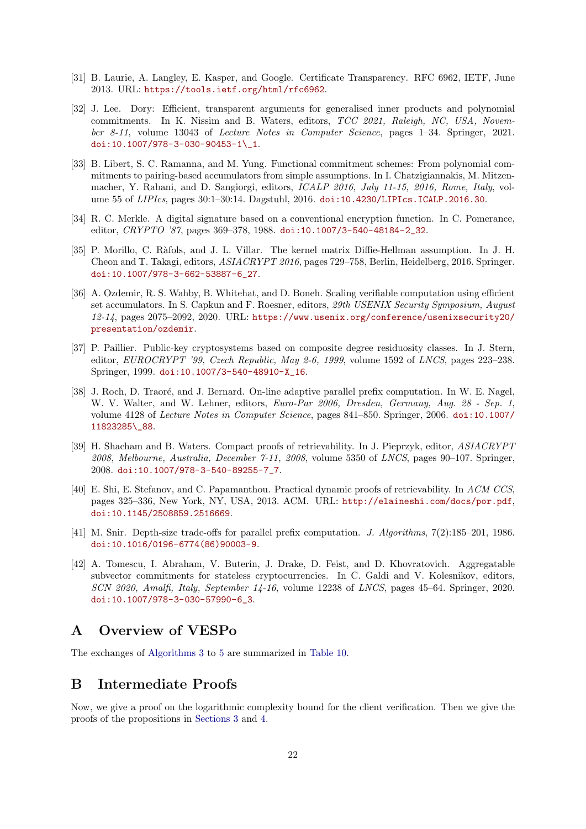- <span id="page-21-10"></span>[31] B. Laurie, A. Langley, E. Kasper, and Google. Certificate Transparency. RFC 6962, IETF, June 2013. URL: <https://tools.ietf.org/html/rfc6962>.
- <span id="page-21-4"></span>[32] J. Lee. Dory: Efficient, transparent arguments for generalised inner products and polynomial commitments. In K. Nissim and B. Waters, editors, TCC 2021, Raleigh, NC, USA, November 8-11, volume 13043 of Lecture Notes in Computer Science, pages 1–34. Springer, 2021. [doi:10.1007/978-3-030-90453-1\\\_1](https://doi.org/10.1007/978-3-030-90453-1_1).
- <span id="page-21-1"></span>[33] B. Libert, S. C. Ramanna, and M. Yung. Functional commitment schemes: From polynomial commitments to pairing-based accumulators from simple assumptions. In I. Chatzigiannakis, M. Mitzenmacher, Y. Rabani, and D. Sangiorgi, editors, *ICALP 2016, July 11-15, 2016, Rome, Italy*, volume 55 of LIPIcs, pages 30:1–30:14. Dagstuhl, 2016. [doi:10.4230/LIPIcs.ICALP.2016.30](https://doi.org/10.4230/LIPIcs.ICALP.2016.30).
- <span id="page-21-9"></span>[34] R. C. Merkle. A digital signature based on a conventional encryption function. In C. Pomerance, editor, CRYPTO '87, pages 369–378, 1988. [doi:10.1007/3-540-48184-2\\_32](https://doi.org/10.1007/3-540-48184-2_32).
- <span id="page-21-6"></span>[35] P. Morillo, C. Ràfols, and J. L. Villar. The kernel matrix Diffie-Hellman assumption. In J. H. Cheon and T. Takagi, editors, ASIACRYPT 2016, pages 729–758, Berlin, Heidelberg, 2016. Springer. [doi:10.1007/978-3-662-53887-6\\_27](https://doi.org/10.1007/978-3-662-53887-6_27).
- <span id="page-21-3"></span>[36] A. Ozdemir, R. S. Wahby, B. Whitehat, and D. Boneh. Scaling verifiable computation using efficient set accumulators. In S. Capkun and F. Roesner, editors, 29th USENIX Security Symposium, August 12-14, pages 2075–2092, 2020. URL: [https://www.usenix.org/conference/usenixsecurity20/](https://www.usenix.org/conference/usenixsecurity20/presentation/ozdemir) [presentation/ozdemir](https://www.usenix.org/conference/usenixsecurity20/presentation/ozdemir).
- <span id="page-21-7"></span>[37] P. Paillier. Public-key cryptosystems based on composite degree residuosity classes. In J. Stern, editor, EUROCRYPT '99, Czech Republic, May 2-6, 1999, volume 1592 of LNCS, pages 223-238. Springer, 1999. [doi:10.1007/3-540-48910-X\\_16](https://doi.org/10.1007/3-540-48910-X_16).
- <span id="page-21-13"></span>[38] J. Roch, D. Traoré, and J. Bernard. On-line adaptive parallel prefix computation. In W. E. Nagel, W. V. Walter, and W. Lehner, editors, *Euro-Par 2006*, *Dresden, Germany, Aug. 28 - Sep. 1*, volume 4128 of Lecture Notes in Computer Science, pages 841–850. Springer, 2006. [doi:10.1007/](https://doi.org/10.1007/11823285_88) [11823285\\\_88](https://doi.org/10.1007/11823285_88).
- <span id="page-21-5"></span>[39] H. Shacham and B. Waters. Compact proofs of retrievability. In J. Pieprzyk, editor, ASIACRYPT 2008, Melbourne, Australia, December 7-11, 2008, volume 5350 of LNCS, pages 90–107. Springer, 2008. [doi:10.1007/978-3-540-89255-7\\_7](https://doi.org/10.1007/978-3-540-89255-7_7).
- <span id="page-21-0"></span>[40] E. Shi, E. Stefanov, and C. Papamanthou. Practical dynamic proofs of retrievability. In ACM CCS, pages 325–336, New York, NY, USA, 2013. ACM. URL: <http://elaineshi.com/docs/por.pdf>, [doi:10.1145/2508859.2516669](https://doi.org/10.1145/2508859.2516669).
- <span id="page-21-12"></span>[41] M. Snir. Depth-size trade-offs for parallel prefix computation. J. Algorithms, 7(2):185–201, 1986. [doi:10.1016/0196-6774\(86\)90003-9](https://doi.org/10.1016/0196-6774(86)90003-9).
- <span id="page-21-2"></span>[42] A. Tomescu, I. Abraham, V. Buterin, J. Drake, D. Feist, and D. Khovratovich. Aggregatable subvector commitments for stateless cryptocurrencies. In C. Galdi and V. Kolesnikov, editors, SCN 2020, Amalfi, Italy, September 14-16, volume 12238 of LNCS, pages 45–64. Springer, 2020. [doi:10.1007/978-3-030-57990-6\\_3](https://doi.org/10.1007/978-3-030-57990-6_3).

# <span id="page-21-11"></span>A Overview of VESPo

The exchanges of [Algorithms 3](#page-10-1) to [5](#page-11-1) are summarized in [Table 10.](#page-22-0)

# <span id="page-21-8"></span>B Intermediate Proofs

Now, we give a proof on the logarithmic complexity bound for the client verification. Then we give the proofs of the propositions in [Sections 3](#page-6-0) and [4.](#page-7-0)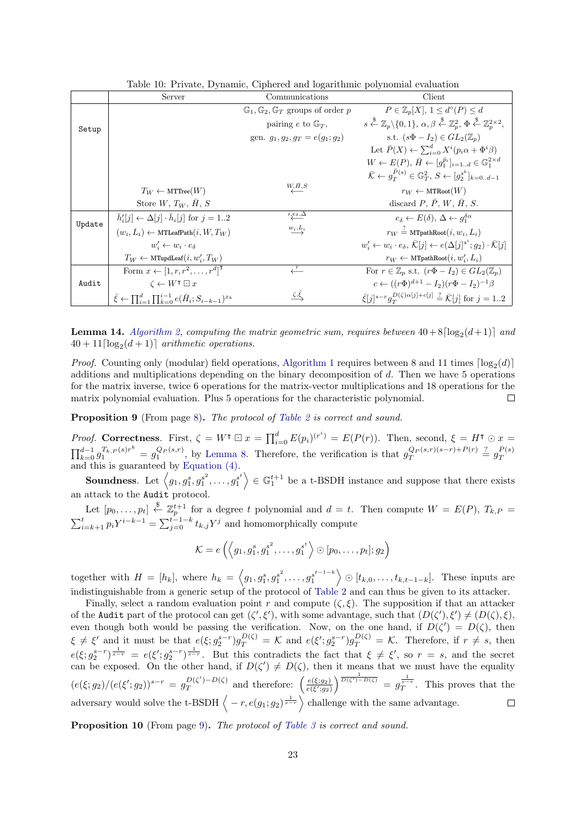| Table 10: Private, Dynamic, Ciphered and logarithmic polynomial evaluation |  |
|----------------------------------------------------------------------------|--|
|----------------------------------------------------------------------------|--|

<span id="page-22-0"></span>

|        | Server                                                                               | Communications                                                     | Client                                                                                                                                                                           |
|--------|--------------------------------------------------------------------------------------|--------------------------------------------------------------------|----------------------------------------------------------------------------------------------------------------------------------------------------------------------------------|
|        |                                                                                      | $\mathbb{G}_1$ , $\mathbb{G}_2$ , $\mathbb{G}_T$ groups of order p | $P \in \mathbb{Z}_p[X], 1 \leq d^{\circ}(P) \leq d$                                                                                                                              |
| Setup  |                                                                                      | pairing e to $\mathbb{G}_T$ ,                                      | $s \stackrel{\$}{\leftarrow} \mathbb{Z}_p \backslash \{0,1\}, \alpha, \beta \stackrel{\$}{\leftarrow} \mathbb{Z}_p^2, \Phi \stackrel{\$}{\leftarrow} \mathbb{Z}_n^{2 \times 2},$ |
|        |                                                                                      | gen. $q_1, q_2, q_T = e(q_1; q_2)$                                 | s.t. $(s\Phi - I_2) \in GL_2(\mathbb{Z}_n)$                                                                                                                                      |
|        |                                                                                      |                                                                    | Let $\bar{P}(X) \leftarrow \sum_{i=0}^{d} X^{i} (p_i \alpha + \Phi^i \beta)$                                                                                                     |
|        |                                                                                      |                                                                    | $W \leftarrow E(P), \, \bar{H} \leftarrow [q_1^{\bar{p}_i}]_{i=1d} \in \mathbb{G}_1^{2 \times d}$                                                                                |
|        |                                                                                      |                                                                    | $\bar{\mathcal{K}} \leftarrow q_T^{P(s)} \in \mathbb{G}_T^2, S \leftarrow [q_2^{s^k}]_{k=0d-1}$                                                                                  |
|        | $T_W \leftarrow \text{MTTree}(W)$                                                    | $W_{\!\mathcal{L}}^{\vphantom{\dagger}}\!\!\!\!\!\!A,\!B$          | $r_W \leftarrow \text{MTRoot}(W)$                                                                                                                                                |
|        | Store $W, T_W, H, S$                                                                 |                                                                    | discard $P, \overline{P}, W, \overline{H}, S.$                                                                                                                                   |
| Update | $\bar{h}'_i[j] \leftarrow \Delta[j] \cdot \bar{h}_i[j]$ for $j = 12$                 | $\stackrel{i,e_\delta,\Delta}{\longleftarrow}$                     | $e_{\delta} \leftarrow E(\delta), \Delta \leftarrow q_1^{\delta \alpha}$                                                                                                         |
|        | $(w_i, L_i) \leftarrow \text{MTLeafPath}(i, W, T_W)$                                 | $\overset{w_i,L_i}{\longrightarrow}$                               | $r_W \stackrel{?}{=}$ MTpathRoot $(i, w_i, L_i)$                                                                                                                                 |
|        | $w'_i \leftarrow w_i \cdot e_\delta$                                                 |                                                                    | $w'_i \leftarrow w_i \cdot e_\delta, \overline{\mathcal{K}}[j] \leftarrow e(\Delta[j]^{s^i}; g_2) \cdot \overline{\mathcal{K}}[j]$                                               |
|        | $T_W \leftarrow \text{MTupdate}(i, w'_i, T_W)$                                       |                                                                    | $r_W \leftarrow \text{MTpathRoot}(i, w'_i, L_i)$                                                                                                                                 |
|        | Form $x \leftarrow [1, r, r^2, \ldots, r^d]^\mathsf{T}$                              | $\stackrel{r}{\longleftarrow}$                                     | For $r \in \mathbb{Z}_p$ s.t. $(r\Phi - I_2) \in GL_2(\mathbb{Z}_p)$                                                                                                             |
| Audit  | $\zeta \leftarrow W^{\intercal} \boxdot x$                                           |                                                                    | $c \leftarrow ((r\Phi)^{d+1} - I_2)(r\Phi - I_2)^{-1}\beta$                                                                                                                      |
|        | $\bar{\xi} \leftarrow \prod_{i=1}^d \prod_{k=0}^{i-1} e(\bar{H}_i; S_{i-k-1})^{x_k}$ | $\zeta,\xi$                                                        | $\bar{\xi}[j]^{s-r}q_{\tau}^{D(\zeta)\alpha[j]+c[j]} \stackrel{?}{=} \bar{\mathcal{K}}[j]$ for $j = 12$                                                                          |

**Lemma 14.** [Algorithm 2,](#page-10-0) computing the matrix geometric sum, requires between  $40 + 8\lceil \log_2(d+1) \rceil$  and  $40 + 11 \lceil \log_2(d+1) \rceil$  arithmetic operations.

*Proof.* Counting only (modular) field operations, [Algorithm 1](#page-9-2) requires between 8 and 11 times  $\lceil \log_2(d) \rceil$ additions and multiplications depending on the binary decomposition of  $d$ . Then we have 5 operations for the matrix inverse, twice 6 operations for the matrix-vector multiplications and 18 operations for the matrix polynomial evaluation. Plus 5 operations for the characteristic polynomial.  $\Box$ 

Proposition 9 (From page [8\)](#page-6-4). The protocol of [Table 2](#page-6-1) is correct and sound.

*Proof.* Correctness. First,  $\zeta = W^{\mathsf{T}} \boxdot x = \prod_{i=0}^d E(p_i)^{(r^i)} = E(P(r))$ . Then, second,  $\xi = H^{\mathsf{T}} \odot x =$  $\prod_{k=0}^{d-1} g_1^{T_{k,P}(s)r^k} = g_1^{Q_P(s,r)}$ , by [Lemma 8.](#page-6-2) Therefore, the verification is that  $g_T^{Q_P(s,r)(s-r)+P(r)} \stackrel{?}{=} g_T^{P(s)}$  $\prod_{k=0} g_1 - g_1$ , by Lemma 8. Therefore, the vermeation is that  $g_T = g_T$  and this is guaranteed by [Equation \(4\).](#page-6-3)

**Soundness**. Let  $\langle g_1, g_1^s, g_1^{s^2}, \dots, g_1^{s^t} \rangle \in \mathbb{G}_1^{t+1}$  be a t-BSDH instance and suppose that there exists an attack to the Audit protocol.

Let  $[p_0, \ldots, p_t] \stackrel{\$}{\leftarrow} \mathbb{Z}_p^{t+1}$  for a degree t polynomial and  $d = t$ . Then compute  $W = E(P), T_{k,P} =$  $\sum_{i=k+1}^{t} p_i Y^{i-k-1} = \sum_{j=0}^{t-1-k} t_{k,j} Y^j$  and homomorphically compute

$$
\mathcal{K}=e\left(\left\langle g_1,g_1^s,g_1^{s^2},\ldots,g_1^{s^t}\right\rangle\odot[p_0,\ldots,p_t];g_2\right)
$$

together with  $H = [h_k]$ , where  $h_k = \langle g_1, g_1^s, g_1^{s^2}, \ldots, g_1^{s^{t-1-k}} \rangle \odot [t_{k,0}, \ldots, t_{k,t-1-k}]$ . These inputs are indistinguishable from a generic setup of the protocol of [Table 2](#page-6-1) and can thus be given to its attacker.

Finally, select a random evaluation point r and compute  $(\zeta, \xi)$ . The supposition if that an attacker of the Audit part of the protocol can get  $(\zeta', \xi')$ , with some advantage, such that  $(D(\zeta'), \xi') \neq (D(\zeta), \xi)$ , even though both would be passing the verification. Now, on the one hand, if  $D(\zeta') = D(\zeta)$ , then  $\xi \neq \xi'$  and it must be that  $e(\xi; g_2^{s-r})g_T^{D(\zeta)} = \mathcal{K}$  and  $e(\xi'; g_2^{s-r})g_T^{D(\zeta)} = \mathcal{K}$ . Therefore, if  $r \neq s$ , then  $e(\xi; g_2^{s-r})^{\frac{1}{s-r}} = e(\xi'; g_2^{s-r})^{\frac{1}{s-r}}$ . But this contradicts the fact that  $\xi \neq \xi'$ , so  $r = s$ , and the secret can be exposed. On the other hand, if  $D(\zeta') \neq D(\zeta)$ , then it means that we must have the equality  $\frac{D(\zeta')-D(\zeta)}{T}$  and therefore:  $\left(\frac{e(\xi;g_2)}{e(\xi';g_2)}\right)^{\frac{1}{D(\zeta')-D(\zeta)}} = g_T^{\frac{1}{3-\tau}}$ . This proves that the  $(e(\xi; g_2)/(e(\xi'; g_2))^{s-r} = g_T^{D(\zeta')-D(\zeta)}$ adversary would solve the t-BSDH  $\langle -r, e(g_1; g_2)^{\frac{1}{s-r}} \rangle$  challenge with the same advantage. 1  $\Box$ 

Proposition 10 (From page [9\)](#page-8-2). The protocol of [Table 3](#page-8-0) is correct and sound.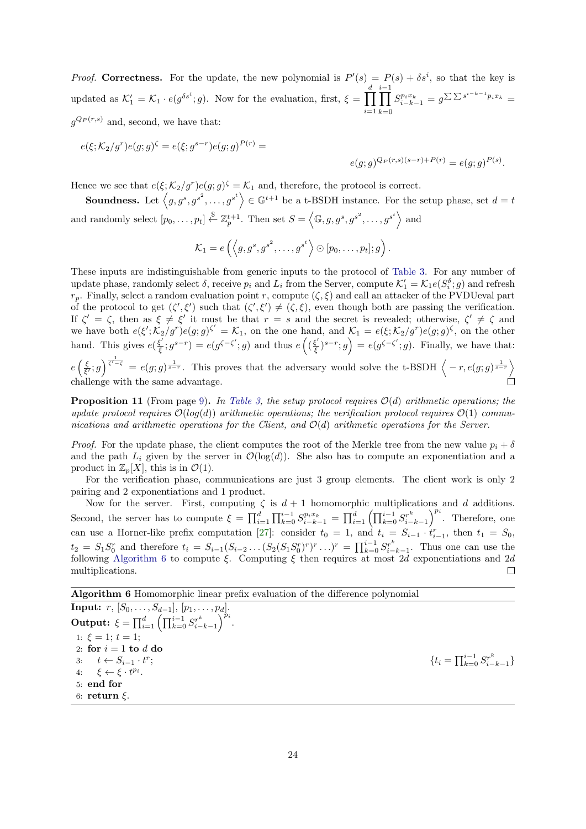*Proof.* Correctness. For the update, the new polynomial is  $P'(s) = P(s) + \delta s^i$ , so that the key is updated as  $\mathcal{K}'_1 = \mathcal{K}_1 \cdot e(g^{\delta s^i}; g)$ . Now for the evaluation, first,  $\xi = \prod^d$  $i=1$  $\prod$ <sup>i−1</sup>  $k=0$  $S_{i-k-1}^{p_i x_k} = g^{\sum \sum s^{i-k-1} p_i x_k} =$  $g^{Q_P(r,s)}$  and, second, we have that:

$$
e(\xi; K_2/g^r)e(g; g)^{\zeta} = e(\xi; g^{s-r})e(g; g)^{P(r)} =
$$

Hence we see that  $e(\xi; \mathcal{K}_2/g^r) e(g; g)^\zeta = \mathcal{K}_1$  and, therefore, the protocol is correct.

**Soundness.** Let  $\langle g, g^s, g^{s^2}, \ldots, g^{s^t} \rangle \in \mathbb{G}^{t+1}$  be a t-BSDH instance. For the setup phase, set  $d = t$ and randomly select  $[p_0, \ldots, p_t] \stackrel{\$}{\leftarrow} \mathbb{Z}_p^{t+1}$ . Then set  $S = \langle \mathbb{G}, g, g^s, g^{s^2}, \ldots, g^{s^t} \rangle$  and

 $e(g;g)^{Q_P(r,s)(s-r)+P(r)} = e(g;g)^{P(s)}.$ 

$$
\mathcal{K}_1=e\left(\left\langle g,g^s,g^{s^2},\ldots,g^{s^t}\right\rangle\odot[p_0,\ldots,p_t];g\right).
$$

These inputs are indistinguishable from generic inputs to the protocol of [Table 3.](#page-8-0) For any number of update phase, randomly select  $\delta$ , receive  $p_i$  and  $L_i$  from the Server, compute  $\mathcal{K}'_1 = \mathcal{K}_1 e(S_i^{\delta}; g)$  and refresh  $r_p$ . Finally, select a random evaluation point r, compute  $(\zeta, \xi)$  and call an attacker of the PVDUeval part of the protocol to get  $(\zeta', \xi')$  such that  $(\zeta', \xi') \neq (\zeta, \xi)$ , even though both are passing the verification. If  $\zeta' = \zeta$ , then as  $\xi \neq \xi'$  it must be that  $r = s$  and the secret is revealed; otherwise,  $\zeta' \neq \zeta$  and we have both  $e(\xi'; \tilde{K_2}/g^r) e(g; g) \zeta' = \mathcal{K_1}$ , on the one hand, and  $\mathcal{K_1} = e(\xi; \mathcal{K_2}/g^r) e(g; g) \zeta$ , on the other hand. This gives  $e^{(\frac{\xi'}{\xi})}$  $(\frac{\xi'}{\xi}; g^{s-r}) = e(g^{\zeta-\zeta'}; g)$  and thus  $e((\frac{\xi'}{\xi}; g^{s-r}))$  $(\xi')^{s-r}$ ;  $g$ ) =  $e(g^{\zeta-\zeta'}; g)$ . Finally, we have that:  $e\left(\frac{\xi}{\xi'},g\right)^{\frac{1}{\zeta'-\zeta}} = e(g;g)^{\frac{1}{s-r}}$ . This proves that the adversary would solve the t-BSDH  $\left\langle -r,e(g;g)^{\frac{1}{s-r}}\right\rangle$ challenge with the same advantage. ń

**Proposition 11** (From page [9\)](#page-8-3). In [Table 3,](#page-8-0) the setup protocol requires  $\mathcal{O}(d)$  arithmetic operations; the update protocol requires  $\mathcal{O}(log(d))$  arithmetic operations; the verification protocol requires  $\mathcal{O}(1)$  communications and arithmetic operations for the Client, and  $\mathcal{O}(d)$  arithmetic operations for the Server.

*Proof.* For the update phase, the client computes the root of the Merkle tree from the new value  $p_i + \delta$ and the path  $L_i$  given by the server in  $\mathcal{O}(\log(d))$ . She also has to compute an exponentiation and a product in  $\mathbb{Z}_p[X]$ , this is in  $\mathcal{O}(1)$ .

For the verification phase, communications are just 3 group elements. The client work is only 2 pairing and 2 exponentiations and 1 product.

Now for the server. First, computing  $\zeta$  is  $d+1$  homomorphic multiplications and d additions. Second, the server has to compute  $\xi = \prod_{i=1}^{d} \prod_{k=0}^{i-1} S_{i-k-1}^{p_i x_k} = \prod_{i=1}^{d} \left( \prod_{k=0}^{i-1} S_{i-k-1}^{r^k} \right)^{p_i}$ . Therefore, one can use a Horner-like prefix computation [\[27\]](#page-20-15): consider  $t_0 = 1$ , and  $t_i = S_{i-1} \cdot t_{i-1}^r$ , then  $t_1 = S_0$ ,  $t_2 = S_1 S_0^r$  and therefore  $t_i = S_{i-1} (S_{i-2} \ldots (S_2 (S_1 S_0^r)^r)^r \ldots)^r = \prod_{k=0}^{i-1} S_{i-k-1}^{r^k}$ . Thus one can use the following [Algorithm 6](#page-23-0) to compute  $\xi$ . Computing  $\xi$  then requires at most 2d exponentiations and 2d multiplications.  $\Box$ 

Algorithm 6 Homomorphic linear prefix evaluation of the difference polynomial

<span id="page-23-0"></span>Input:  $r, [S_0, \ldots, S_{d-1}], [p_1, \ldots, p_d].$ Output:  $\xi = \prod_{i=1}^{d} \left( \prod_{k=0}^{i-1} S_{i-k-1}^{r^k} \right)^{p_i}$ . 1:  $\xi = 1$ ;  $t = 1$ ; 2: for  $i = 1$  to  $d$  do 3:  $t \leftarrow S_{i-1} \cdot t^r$ ;  $\{t_i =$ 4:  $\xi \leftarrow \xi \cdot t^{p_i}$ . 5: end for 6: return ξ.

 $\prod_{k=0}^{i-1} S_{i-k-1}^{r^k}$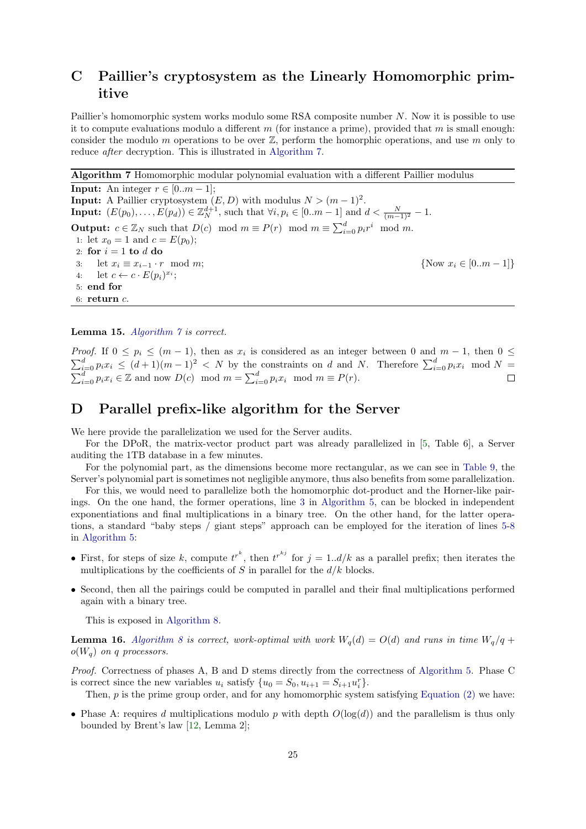# <span id="page-24-1"></span>C Paillier's cryptosystem as the Linearly Homomorphic primitive

Paillier's homomorphic system works modulo some RSA composite number N. Now it is possible to use it to compute evaluations modulo a different m (for instance a prime), provided that m is small enough: consider the modulo m operations to be over  $\mathbb{Z}$ , perform the homorphic operations, and use m only to reduce *after* decryption. This is illustrated in [Algorithm 7.](#page-24-2)

Algorithm 7 Homomorphic modular polynomial evaluation with a different Paillier modulus

<span id="page-24-2"></span>**Input:** An integer  $r \in [0..m-1]$ ; **Input:** A Paillier cryptosystem  $(E, D)$  with modulus  $N > (m-1)^2$ . **Input:**  $(E(p_0),...,E(p_d)) \in \mathbb{Z}_N^{d+1}$ , such that  $\forall i, p_i \in [0..m-1]$  and  $d < \frac{N}{(m-1)^2} - 1$ . **Output:**  $c \in \mathbb{Z}_N$  such that  $D(c) \mod m \equiv P(r) \mod m \equiv \sum_{i=0}^d p_i r^i \mod m$ . 1: let  $x_0 = 1$  and  $c = E(p_0)$ ; 2: for  $i = 1$  to  $d$  do 3: let  $x_i \equiv x_{i-1} \cdot r \mod m$ ; {Now  $x_i \in [0..m-1]$ } 4: let  $c \leftarrow c \cdot E(p_i)^{x_i}$ ; 5: end for 6: return  $c$ .

Lemma 15. [Algorithm 7](#page-24-2) is correct.

*Proof.* If  $0 \leq p_i \leq (m-1)$ , then as  $x_i$  is considered as an integer between 0 and  $m-1$ , then  $0 \leq$  $\sum_{i=0}^{d} p_i x_i \leq (d+1)(m-1)^2 < N$  by the constraints on d and N. Therefore  $\sum_{i=0}^{d} p_i x_i \mod N =$  $\sum_{i=0}^{d} p_i x_i \in \mathbb{Z}$  and now  $D(c) \mod m = \sum_{i=0}^{d} p_i x_i \mod m \equiv P(r)$ .

## <span id="page-24-0"></span>D Parallel prefix-like algorithm for the Server

We here provide the parallelization we used for the Server audits.

For the DPoR, the matrix-vector product part was already parallelized in [\[5,](#page-19-1) Table 6], a Server auditing the 1TB database in a few minutes.

For the polynomial part, as the dimensions become more rectangular, as we can see in [Table 9,](#page-17-0) the Server's polynomial part is sometimes not negligible anymore, thus also benefits from some parallelization.

For this, we would need to parallelize both the homomorphic dot-product and the Horner-like pairings. On the one hand, the former operations, line [3](#page-11-1) in [Algorithm 5,](#page-11-1) can be blocked in independent exponentiations and final multiplications in a binary tree. On the other hand, for the latter operations, a standard "baby steps / giant steps" approach can be employed for the iteration of lines [5-8](#page-11-1) in [Algorithm 5:](#page-11-1)

- First, for steps of size k, compute  $t^{r^k}$ , then  $t^{r^{kj}}$  for  $j = 1..d/k$  as a parallel prefix; then iterates the multiplications by the coefficients of S in parallel for the  $d/k$  blocks.
- Second, then all the pairings could be computed in parallel and their final multiplications performed again with a binary tree.

This is exposed in [Algorithm 8.](#page-26-0)

**Lemma 16.** [Algorithm 8](#page-26-0) is correct, work-optimal with work  $W_q(d) = O(d)$  and runs in time  $W_q/q$  +  $o(W_a)$  on q processors.

Proof. Correctness of phases A, B and D stems directly from the correctness of [Algorithm 5.](#page-11-1) Phase C is correct since the new variables  $u_i$  satisfy  $\{u_0 = S_0, u_{i+1} = S_{i+1}u_i^r\}.$ 

Then,  $p$  is the prime group order, and for any homomorphic system satisfying Equation  $(2)$  we have:

• Phase A: requires d multiplications modulo p with depth  $O(log(d))$  and the parallelism is thus only bounded by Brent's law [\[12,](#page-19-13) Lemma 2];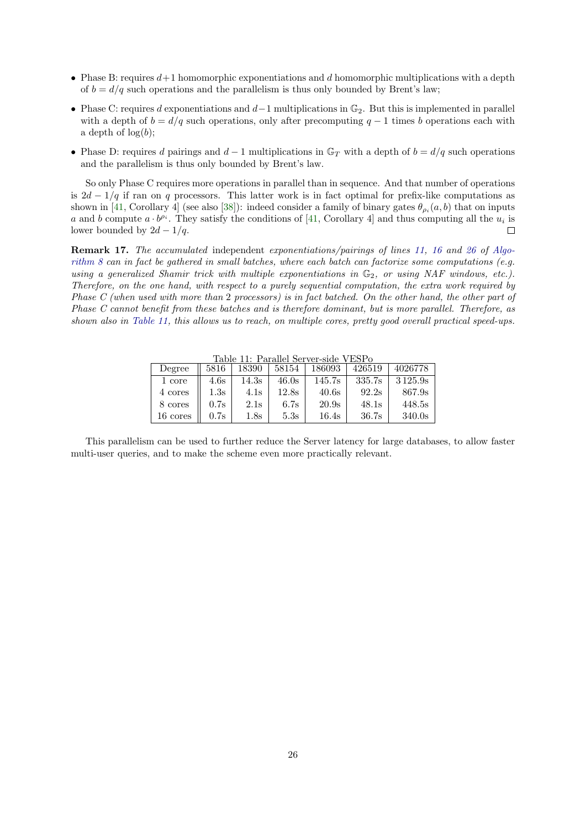- Phase B: requires  $d+1$  homomorphic exponentiations and d homomorphic multiplications with a depth of  $b = d/q$  such operations and the parallelism is thus only bounded by Brent's law;
- Phase C: requires d exponentiations and  $d-1$  multiplications in  $\mathbb{G}_2$ . But this is implemented in parallel with a depth of  $b = d/q$  such operations, only after precomputing  $q - 1$  times b operations each with a depth of  $log(b)$ ;
- Phase D: requires d pairings and  $d-1$  multiplications in  $\mathbb{G}_T$  with a depth of  $b = d/q$  such operations and the parallelism is thus only bounded by Brent's law.

So only Phase C requires more operations in parallel than in sequence. And that number of operations is  $2d - 1/q$  if ran on q processors. This latter work is in fact optimal for prefix-like computations as shown in [\[41,](#page-21-12) Corollary 4] (see also [\[38\]](#page-21-13)): indeed consider a family of binary gates  $\theta_{\rho_i}(a, b)$  that on inputs a and b compute  $a \cdot b^{\rho_i}$ . They satisfy the conditions of [\[41,](#page-21-12) Corollary 4] and thus computing all the  $u_i$  is lower bounded by  $2d - 1/q$ .  $\Box$ 

Remark 17. The accumulated independent exponentiations/pairings of lines [11,](#page-26-0) [16](#page-26-0) and [26](#page-26-0) of [Algo](#page-26-0)[rithm 8](#page-26-0) can in fact be gathered in small batches, where each batch can factorize some computations (e.g. using a generalized Shamir trick with multiple exponentiations in  $\mathbb{G}_2$ , or using NAF windows, etc.). Therefore, on the one hand, with respect to a purely sequential computation, the extra work required by Phase C (when used with more than 2 processors) is in fact batched. On the other hand, the other part of Phase C cannot benefit from these batches and is therefore dominant, but is more parallel. Therefore, as shown also in [Table 11,](#page-25-0) this allows us to reach, on multiple cores, pretty good overall practical speed-ups.

Table 11: Parallel Server-side VESPo

<span id="page-25-0"></span>

| Degree   | 5816 | 18390           | 58154 | 186093 | 426519 | 4026778 |
|----------|------|-----------------|-------|--------|--------|---------|
| 1 core   | 4.6s | 14.3s           | 46.0s | 145.7s | 335.7s | 3125.9s |
| 4 cores  | 1.3s | 4.1s            | 12.8s | 40.6s  | 92.2s  | 867.9s  |
| 8 cores  | 0.7s | 2.1s            | 6.7s  | 20.9s  | 48.1s  | 448.5s  |
| 16 cores | 0.7s | $1.8\mathrm{s}$ | 5.3s  | 16.4s  | 36.7s  | 340.0s  |

This parallelism can be used to further reduce the Server latency for large databases, to allow faster multi-user queries, and to make the scheme even more practically relevant.